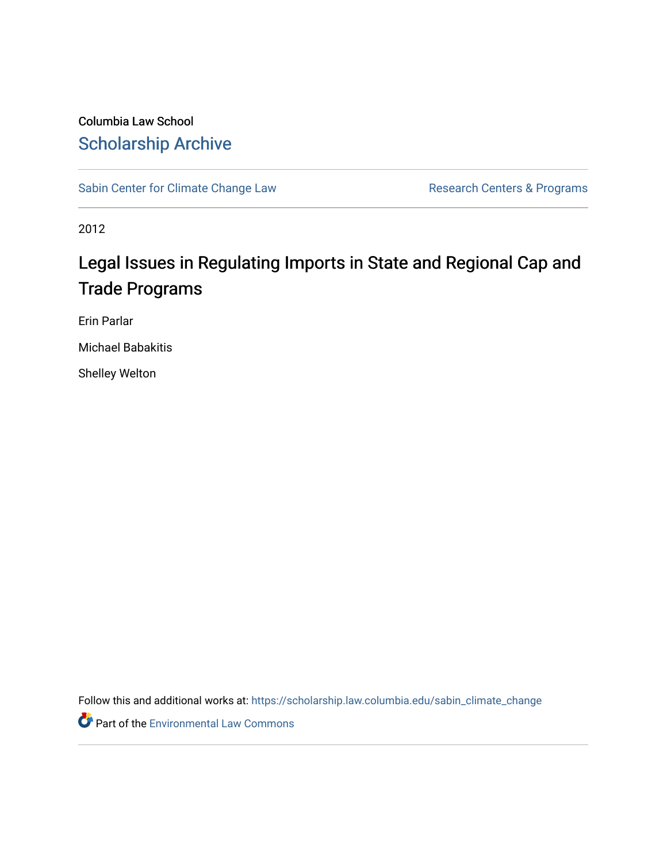## Columbia Law School [Scholarship Archive](https://scholarship.law.columbia.edu/)

[Sabin Center for Climate Change Law](https://scholarship.law.columbia.edu/sabin_climate_change) Research Centers & Programs

2012

# Legal Issues in Regulating Imports in State and Regional Cap and Trade Programs

Erin Parlar

Michael Babakitis

Shelley Welton

Follow this and additional works at: [https://scholarship.law.columbia.edu/sabin\\_climate\\_change](https://scholarship.law.columbia.edu/sabin_climate_change?utm_source=scholarship.law.columbia.edu%2Fsabin_climate_change%2F155&utm_medium=PDF&utm_campaign=PDFCoverPages) 

**Part of the [Environmental Law Commons](http://network.bepress.com/hgg/discipline/599?utm_source=scholarship.law.columbia.edu%2Fsabin_climate_change%2F155&utm_medium=PDF&utm_campaign=PDFCoverPages)**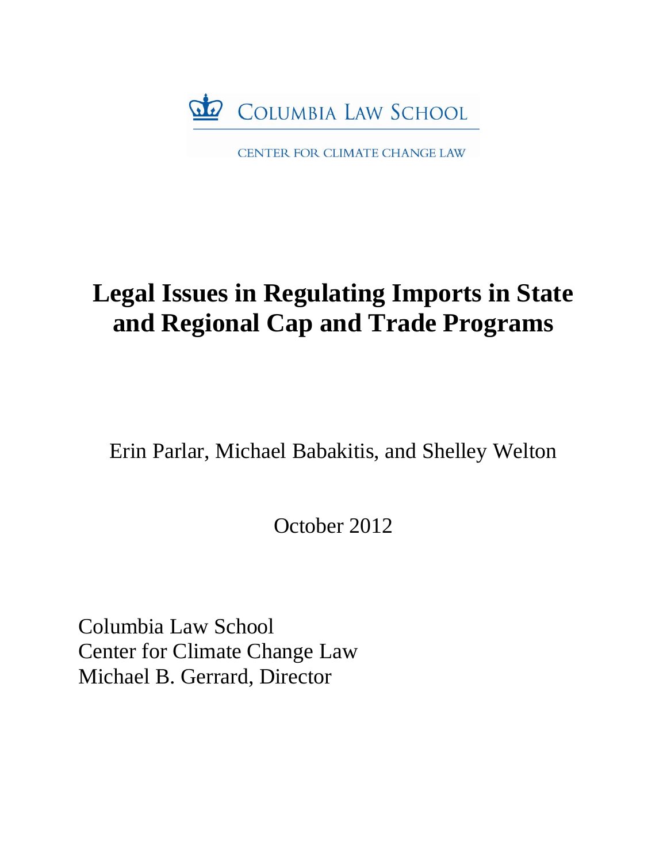

CENTER FOR CLIMATE CHANGE LAW

# **Legal Issues in Regulating Imports in State and Regional Cap and Trade Programs**

Erin Parlar, Michael Babakitis, and Shelley Welton

October 2012

Columbia Law School Center for Climate Change Law Michael B. Gerrard, Director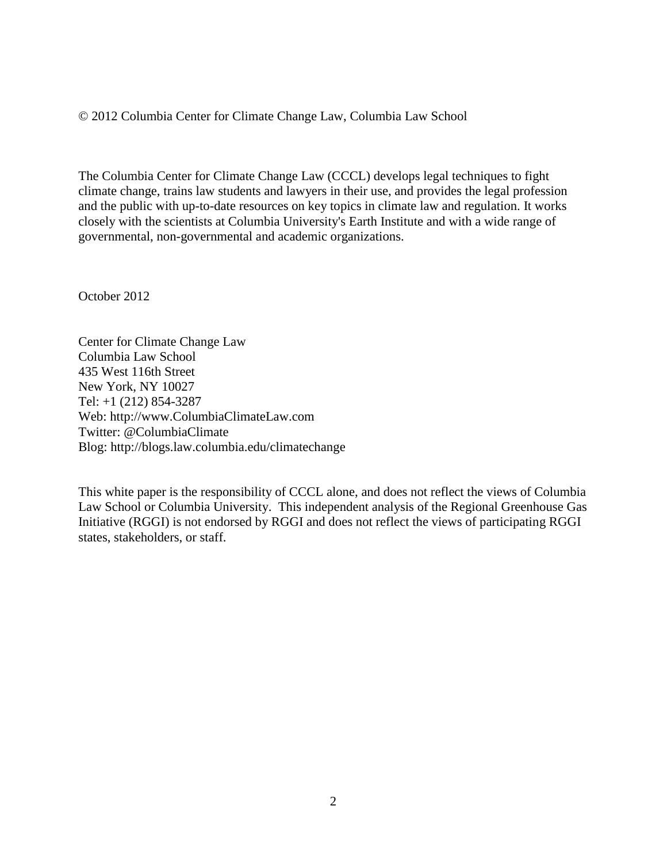© 2012 Columbia Center for Climate Change Law, Columbia Law School

The Columbia Center for Climate Change Law (CCCL) develops legal techniques to fight climate change, trains law students and lawyers in their use, and provides the legal profession and the public with up-to-date resources on key topics in climate law and regulation. It works closely with the scientists at Columbia University's Earth Institute and with a wide range of governmental, non-governmental and academic organizations.

October 2012

Center for Climate Change Law Columbia Law School 435 West 116th Street New York, NY 10027 Tel: +1 (212) 854-3287 Web: http://www.ColumbiaClimateLaw.com Twitter: @ColumbiaClimate Blog: http://blogs.law.columbia.edu/climatechange

This white paper is the responsibility of CCCL alone, and does not reflect the views of Columbia Law School or Columbia University. This independent analysis of the Regional Greenhouse Gas Initiative (RGGI) is not endorsed by RGGI and does not reflect the views of participating RGGI states, stakeholders, or staff.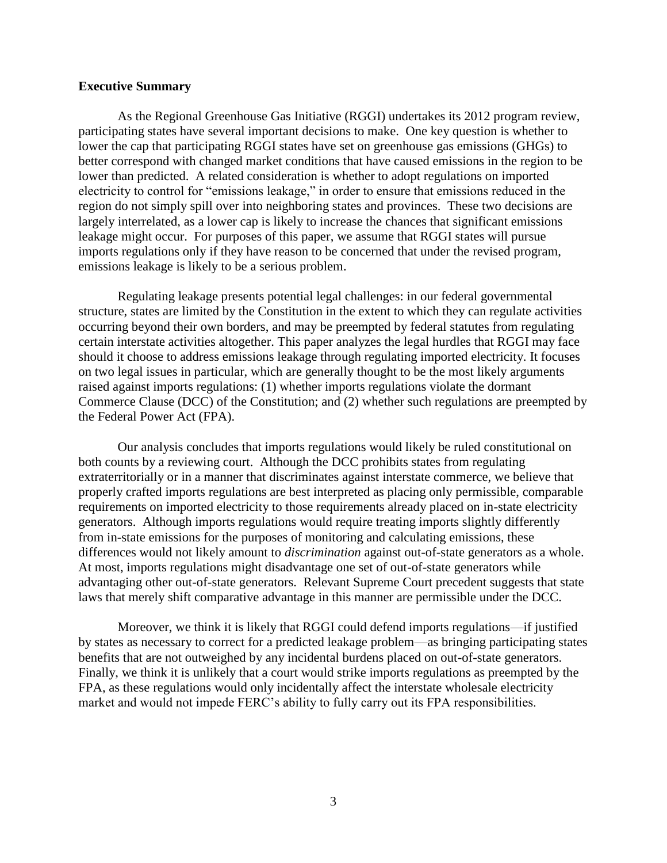#### **Executive Summary**

As the Regional Greenhouse Gas Initiative (RGGI) undertakes its 2012 program review, participating states have several important decisions to make. One key question is whether to lower the cap that participating RGGI states have set on greenhouse gas emissions (GHGs) to better correspond with changed market conditions that have caused emissions in the region to be lower than predicted. A related consideration is whether to adopt regulations on imported electricity to control for "emissions leakage," in order to ensure that emissions reduced in the region do not simply spill over into neighboring states and provinces. These two decisions are largely interrelated, as a lower cap is likely to increase the chances that significant emissions leakage might occur. For purposes of this paper, we assume that RGGI states will pursue imports regulations only if they have reason to be concerned that under the revised program, emissions leakage is likely to be a serious problem.

Regulating leakage presents potential legal challenges: in our federal governmental structure, states are limited by the Constitution in the extent to which they can regulate activities occurring beyond their own borders, and may be preempted by federal statutes from regulating certain interstate activities altogether. This paper analyzes the legal hurdles that RGGI may face should it choose to address emissions leakage through regulating imported electricity. It focuses on two legal issues in particular, which are generally thought to be the most likely arguments raised against imports regulations: (1) whether imports regulations violate the dormant Commerce Clause (DCC) of the Constitution; and (2) whether such regulations are preempted by the Federal Power Act (FPA).

Our analysis concludes that imports regulations would likely be ruled constitutional on both counts by a reviewing court. Although the DCC prohibits states from regulating extraterritorially or in a manner that discriminates against interstate commerce, we believe that properly crafted imports regulations are best interpreted as placing only permissible, comparable requirements on imported electricity to those requirements already placed on in-state electricity generators. Although imports regulations would require treating imports slightly differently from in-state emissions for the purposes of monitoring and calculating emissions, these differences would not likely amount to *discrimination* against out-of-state generators as a whole. At most, imports regulations might disadvantage one set of out-of-state generators while advantaging other out-of-state generators. Relevant Supreme Court precedent suggests that state laws that merely shift comparative advantage in this manner are permissible under the DCC.

Moreover, we think it is likely that RGGI could defend imports regulations—if justified by states as necessary to correct for a predicted leakage problem—as bringing participating states benefits that are not outweighed by any incidental burdens placed on out-of-state generators. Finally, we think it is unlikely that a court would strike imports regulations as preempted by the FPA, as these regulations would only incidentally affect the interstate wholesale electricity market and would not impede FERC's ability to fully carry out its FPA responsibilities.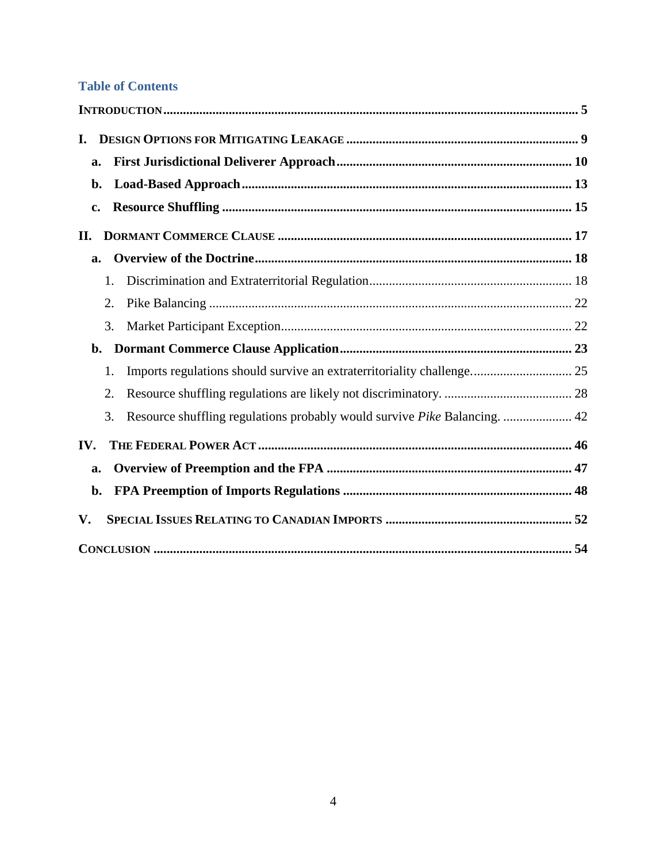## **Table of Contents**

| I.  |    |                                                                           |    |
|-----|----|---------------------------------------------------------------------------|----|
| a.  |    |                                                                           |    |
| b.  |    |                                                                           |    |
| c.  |    |                                                                           |    |
| II. |    |                                                                           |    |
| a.  |    |                                                                           |    |
|     | 1. |                                                                           |    |
|     | 2. |                                                                           |    |
|     | 3. |                                                                           |    |
| b.  |    |                                                                           |    |
|     | 1. | Imports regulations should survive an extraterritoriality challenge 25    |    |
|     | 2. |                                                                           |    |
|     | 3. | Resource shuffling regulations probably would survive Pike Balancing.  42 |    |
| IV. |    |                                                                           |    |
| a.  |    |                                                                           |    |
| b.  |    |                                                                           |    |
| V.  |    |                                                                           |    |
|     |    |                                                                           | 54 |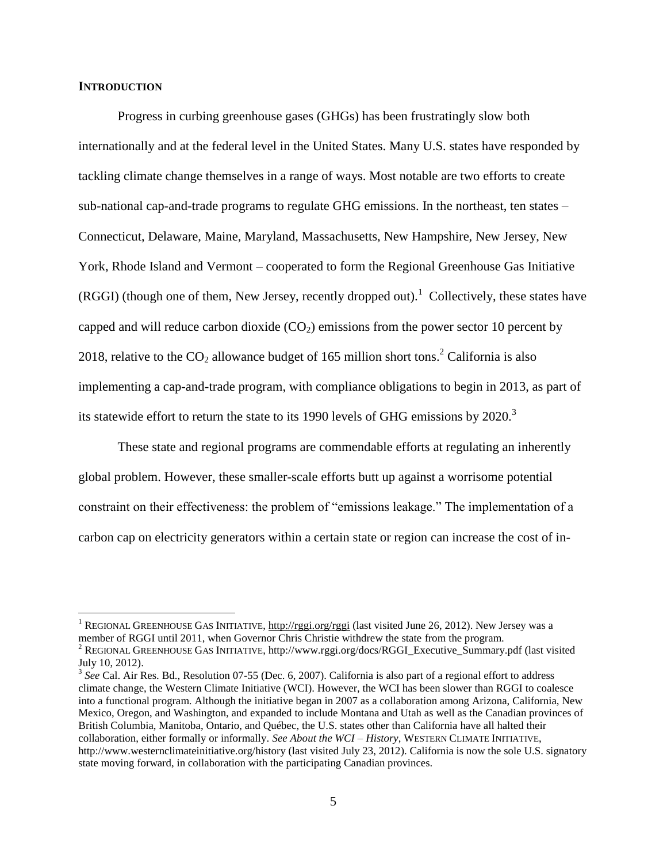#### **INTRODUCTION**

 $\overline{a}$ 

Progress in curbing greenhouse gases (GHGs) has been frustratingly slow both internationally and at the federal level in the United States. Many U.S. states have responded by tackling climate change themselves in a range of ways. Most notable are two efforts to create sub-national cap-and-trade programs to regulate GHG emissions. In the northeast, ten states – Connecticut, Delaware, Maine, Maryland, Massachusetts, New Hampshire, New Jersey, New York, Rhode Island and Vermont – cooperated to form the Regional Greenhouse Gas Initiative (RGGI) (though one of them, New Jersey, recently dropped out).<sup>1</sup> Collectively, these states have capped and will reduce carbon dioxide  $(CO<sub>2</sub>)$  emissions from the power sector 10 percent by 2018, relative to the  $CO_2$  allowance budget of 165 million short tons.<sup>2</sup> California is also implementing a cap-and-trade program, with compliance obligations to begin in 2013, as part of its statewide effort to return the state to its 1990 levels of GHG emissions by  $2020$ .<sup>3</sup>

These state and regional programs are commendable efforts at regulating an inherently global problem. However, these smaller-scale efforts butt up against a worrisome potential constraint on their effectiveness: the problem of "emissions leakage." The implementation of a carbon cap on electricity generators within a certain state or region can increase the cost of in-

<sup>&</sup>lt;sup>1</sup> REGIONAL GREENHOUSE GAS INITIATIVE,<http://rggi.org/rggi> (last visited June 26, 2012). New Jersey was a member of RGGI until 2011, when Governor Chris Christie withdrew the state from the program.

 $2$  REGIONAL GREENHOUSE GAS INITIATIVE, http://www.rggi.org/docs/RGGI\_Executive\_Summary.pdf (last visited July 10, 2012).

<sup>&</sup>lt;sup>3</sup> See Cal. Air Res. Bd., Resolution 07-55 (Dec. 6, 2007). California is also part of a regional effort to address climate change, the Western Climate Initiative (WCI). However, the WCI has been slower than RGGI to coalesce into a functional program. Although the initiative began in 2007 as a collaboration among Arizona, California, New Mexico, Oregon, and Washington, and expanded to include Montana and Utah as well as the Canadian provinces of British Columbia, Manitoba, Ontario, and Québec, the U.S. states other than California have all halted their collaboration, either formally or informally. *See About the WCI – History*, WESTERN CLIMATE INITIATIVE, http://www.westernclimateinitiative.org/history (last visited July 23, 2012). California is now the sole U.S. signatory state moving forward, in collaboration with the participating Canadian provinces.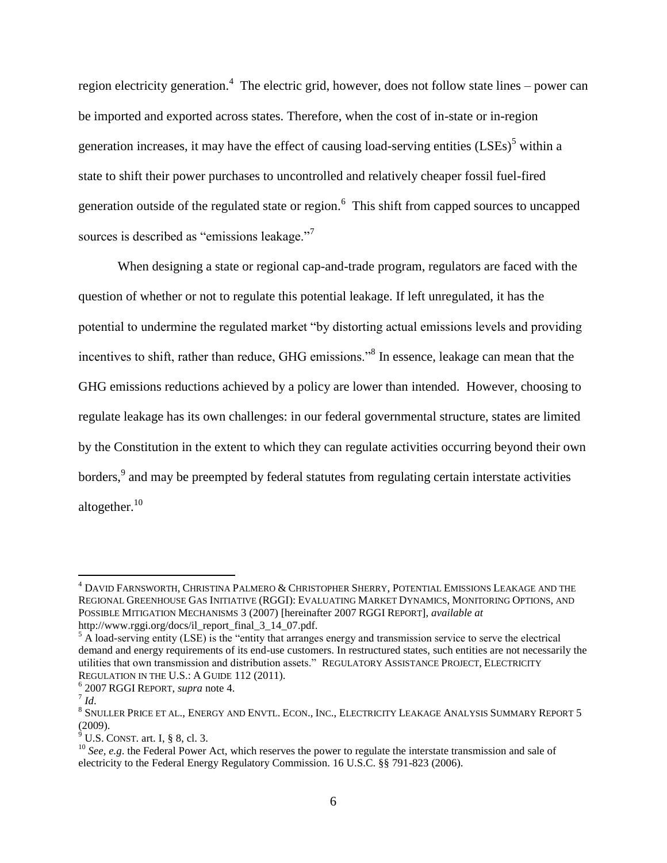<span id="page-6-1"></span><span id="page-6-0"></span>region electricity generation.<sup>4</sup> The electric grid, however, does not follow state lines – power can be imported and exported across states. Therefore, when the cost of in-state or in-region generation increases, it may have the effect of causing load-serving entities  $(LSEs)$ <sup>5</sup> within a state to shift their power purchases to uncontrolled and relatively cheaper fossil fuel-fired generation outside of the regulated state or region.<sup>6</sup> This shift from capped sources to uncapped sources is described as "emissions leakage."<sup>7</sup>

When designing a state or regional cap-and-trade program, regulators are faced with the question of whether or not to regulate this potential leakage. If left unregulated, it has the potential to undermine the regulated market "by distorting actual emissions levels and providing incentives to shift, rather than reduce, GHG emissions."<sup>8</sup> In essence, leakage can mean that the GHG emissions reductions achieved by a policy are lower than intended. However, choosing to regulate leakage has its own challenges: in our federal governmental structure, states are limited by the Constitution in the extent to which they can regulate activities occurring beyond their own borders,<sup>9</sup> and may be preempted by federal statutes from regulating certain interstate activities altogether.<sup>10</sup>

<sup>4</sup> DAVID FARNSWORTH, CHRISTINA PALMERO & CHRISTOPHER SHERRY, POTENTIAL EMISSIONS LEAKAGE AND THE REGIONAL GREENHOUSE GAS INITIATIVE (RGGI): EVALUATING MARKET DYNAMICS, MONITORING OPTIONS, AND POSSIBLE MITIGATION MECHANISMS 3 (2007) [hereinafter 2007 RGGI REPORT], *available at* http://www.rggi.org/docs/il\_report\_final\_3\_14\_07.pdf.

 $<sup>5</sup>$  A load-serving entity (LSE) is the "entity that arranges energy and transmission service to serve the electrical</sup> demand and energy requirements of its end-use customers. In restructured states, such entities are not necessarily the utilities that own transmission and distribution assets." REGULATORY ASSISTANCE PROJECT, ELECTRICITY REGULATION IN THE U.S.: A GUIDE 112 (2011).

<sup>6</sup> 2007 RGGI REPORT, *supra* note [4.](#page-6-0)

<sup>7</sup> *Id*.

 $^8$  Snuller Price et al., Energy and Envtl. Econ., Inc., Electricity Leakage Analysis Summary Report 5 (2009).

 $<sup>9</sup>$  U.S. CONST. art. I, § 8, cl. 3.</sup>

<sup>&</sup>lt;sup>10</sup> *See, e.g.* the Federal Power Act, which reserves the power to regulate the interstate transmission and sale of electricity to the Federal Energy Regulatory Commission. 16 U.S.C. §§ 791-823 (2006).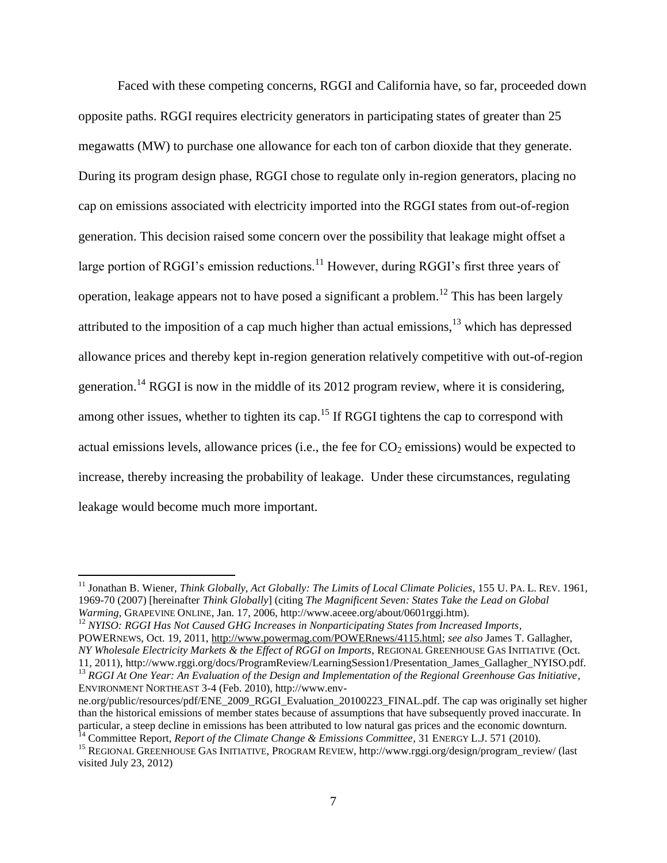<span id="page-7-0"></span>Faced with these competing concerns, RGGI and California have, so far, proceeded down opposite paths. RGGI requires electricity generators in participating states of greater than 25 megawatts (MW) to purchase one allowance for each ton of carbon dioxide that they generate. During its program design phase, RGGI chose to regulate only in-region generators, placing no cap on emissions associated with electricity imported into the RGGI states from out-of-region generation. This decision raised some concern over the possibility that leakage might offset a large portion of RGGI's emission reductions.<sup>11</sup> However, during RGGI's first three years of operation, leakage appears not to have posed a significant a problem.<sup>12</sup> This has been largely attributed to the imposition of a cap much higher than actual emissions, $13$  which has depressed allowance prices and thereby kept in-region generation relatively competitive with out-of-region generation.<sup>14</sup> RGGI is now in the middle of its 2012 program review, where it is considering, among other issues, whether to tighten its cap.<sup>15</sup> If RGGI tightens the cap to correspond with actual emissions levels, allowance prices (i.e., the fee for  $CO<sub>2</sub>$  emissions) would be expected to increase, thereby increasing the probability of leakage. Under these circumstances, regulating leakage would become much more important.

<sup>&</sup>lt;sup>11</sup> Jonathan B. Wiener, *Think Globally, Act Globally: The Limits of Local Climate Policies*, 155 U. PA. L. REV. 1961, 1969-70 (2007) [hereinafter *Think Globally*] (citing *The Magnificent Seven: States Take the Lead on Global Warming*, GRAPEVINE ONLINE, Jan. 17, 2006, http://www.aceee.org/about/0601rggi.htm).

<sup>&</sup>lt;sup>12</sup> *NYISO*: RGGI Has Not Caused GHG Increases in Nonparticipating States from Increased Imports, POWERNEWS, Oct. 19, 2011, [http://www.powermag.com/POWERnews/4115.html;](http://www.powermag.com/POWERnews/4115.html) *see also* James T. Gallagher, *NY Wholesale Electricity Markets & the Effect of RGGI on Imports*, REGIONAL GREENHOUSE GAS INITIATIVE (Oct. 11, 2011), http://www.rggi.org/docs/ProgramReview/LearningSession1/Presentation\_James\_Gallagher\_NYISO.pdf.

<sup>&</sup>lt;sup>13</sup> *RGGI At One Year: An Evaluation of the Design and Implementation of the Regional Greenhouse Gas Initiative*, ENVIRONMENT NORTHEAST 3-4 (Feb. 2010), http://www.env-

ne.org/public/resources/pdf/ENE\_2009\_RGGI\_Evaluation\_20100223\_FINAL.pdf. The cap was originally set higher than the historical emissions of member states because of assumptions that have subsequently proved inaccurate. In particular, a steep decline in emissions has been attributed to low natural gas prices and the economic downturn.

<sup>&</sup>lt;sup>14</sup> Committee Report, *Report of the Climate Change & Emissions Committee*, 31 ENERGY L.J. 571 (2010).

<sup>&</sup>lt;sup>15</sup> REGIONAL GREENHOUSE GAS INITIATIVE, PROGRAM REVIEW, http://www.rggi.org/design/program\_review/ (last visited July 23, 2012)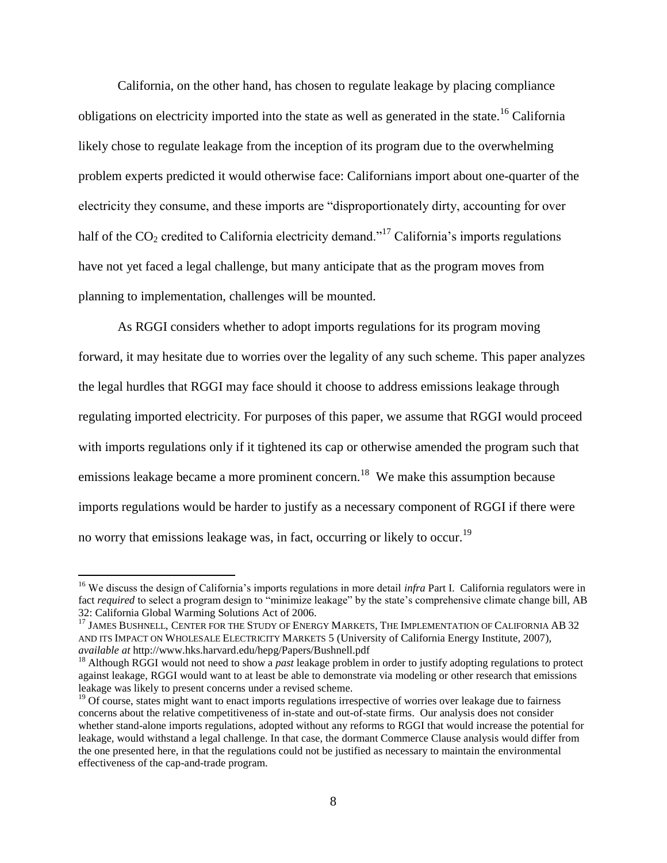California, on the other hand, has chosen to regulate leakage by placing compliance obligations on electricity imported into the state as well as generated in the state.<sup>16</sup> California likely chose to regulate leakage from the inception of its program due to the overwhelming problem experts predicted it would otherwise face: Californians import about one-quarter of the electricity they consume, and these imports are "disproportionately dirty, accounting for over half of the  $CO_2$  credited to California electricity demand."<sup>17</sup> California's imports regulations have not yet faced a legal challenge, but many anticipate that as the program moves from planning to implementation, challenges will be mounted.

<span id="page-8-0"></span>As RGGI considers whether to adopt imports regulations for its program moving forward, it may hesitate due to worries over the legality of any such scheme. This paper analyzes the legal hurdles that RGGI may face should it choose to address emissions leakage through regulating imported electricity. For purposes of this paper, we assume that RGGI would proceed with imports regulations only if it tightened its cap or otherwise amended the program such that emissions leakage became a more prominent concern.<sup>18</sup> We make this assumption because imports regulations would be harder to justify as a necessary component of RGGI if there were no worry that emissions leakage was, in fact, occurring or likely to occur.<sup>19</sup>

<sup>&</sup>lt;sup>16</sup> We discuss the design of California's imports regulations in more detail *infra* Part I. California regulators were in fact *required* to select a program design to "minimize leakage" by the state's comprehensive climate change bill, AB 32: California Global Warming Solutions Act of 2006.

<sup>&</sup>lt;sup>17</sup> JAMES BUSHNELL, CENTER FOR THE STUDY OF ENERGY MARKETS, THE IMPLEMENTATION OF CALIFORNIA AB 32 AND ITS IMPACT ON WHOLESALE ELECTRICITY MARKETS 5 (University of California Energy Institute, 2007), *available at* http://www.hks.harvard.edu/hepg/Papers/Bushnell.pdf

<sup>&</sup>lt;sup>18</sup> Although RGGI would not need to show a *past* leakage problem in order to justify adopting regulations to protect against leakage, RGGI would want to at least be able to demonstrate via modeling or other research that emissions leakage was likely to present concerns under a revised scheme.

<sup>&</sup>lt;sup>19</sup> Of course, states might want to enact imports regulations irrespective of worries over leakage due to fairness concerns about the relative competitiveness of in-state and out-of-state firms. Our analysis does not consider whether stand-alone imports regulations, adopted without any reforms to RGGI that would increase the potential for leakage, would withstand a legal challenge. In that case, the dormant Commerce Clause analysis would differ from the one presented here, in that the regulations could not be justified as necessary to maintain the environmental effectiveness of the cap-and-trade program.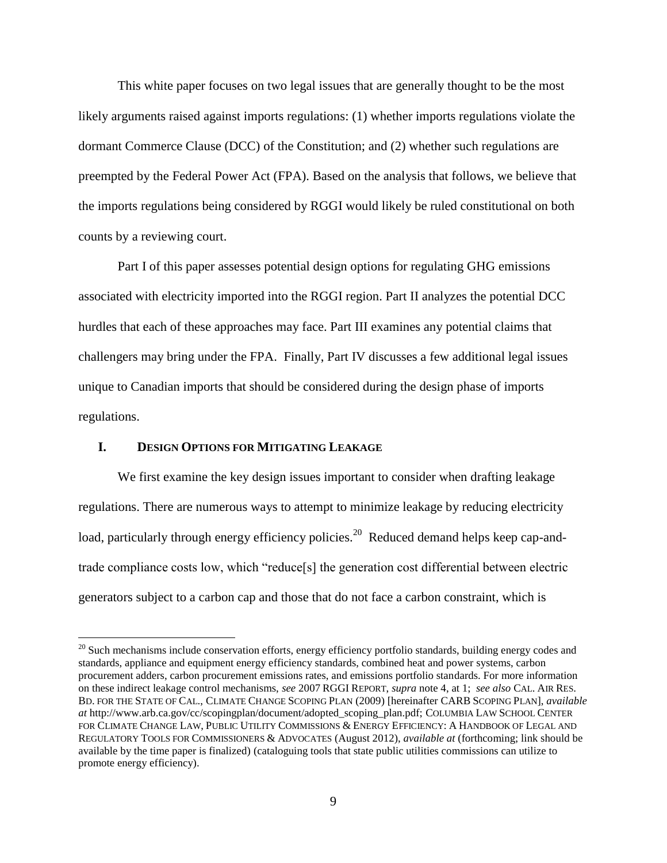This white paper focuses on two legal issues that are generally thought to be the most likely arguments raised against imports regulations: (1) whether imports regulations violate the dormant Commerce Clause (DCC) of the Constitution; and (2) whether such regulations are preempted by the Federal Power Act (FPA). Based on the analysis that follows, we believe that the imports regulations being considered by RGGI would likely be ruled constitutional on both counts by a reviewing court.

Part I of this paper assesses potential design options for regulating GHG emissions associated with electricity imported into the RGGI region. Part II analyzes the potential DCC hurdles that each of these approaches may face. Part III examines any potential claims that challengers may bring under the FPA. Finally, Part IV discusses a few additional legal issues unique to Canadian imports that should be considered during the design phase of imports regulations.

#### <span id="page-9-0"></span>**I. DESIGN OPTIONS FOR MITIGATING LEAKAGE**

 $\overline{a}$ 

We first examine the key design issues important to consider when drafting leakage regulations. There are numerous ways to attempt to minimize leakage by reducing electricity load, particularly through energy efficiency policies.<sup>20</sup> Reduced demand helps keep cap-andtrade compliance costs low, which "reduce[s] the generation cost differential between electric generators subject to a carbon cap and those that do not face a carbon constraint, which is

<sup>&</sup>lt;sup>20</sup> Such mechanisms include conservation efforts, energy efficiency portfolio standards, building energy codes and standards, appliance and equipment energy efficiency standards, combined heat and power systems, carbon procurement adders, carbon procurement emissions rates, and emissions portfolio standards. For more information on these indirect leakage control mechanisms, *see* 2007 RGGI REPORT, *supra* not[e 4,](#page-6-0) at 1; *see also* CAL. AIR RES. BD. FOR THE STATE OF CAL., CLIMATE CHANGE SCOPING PLAN (2009) [hereinafter CARB SCOPING PLAN], *available at* http://www.arb.ca.gov/cc/scopingplan/document/adopted\_scoping\_plan.pdf; COLUMBIA LAW SCHOOL CENTER FOR CLIMATE CHANGE LAW, PUBLIC UTILITY COMMISSIONS & ENERGY EFFICIENCY: A HANDBOOK OF LEGAL AND REGULATORY TOOLS FOR COMMISSIONERS & ADVOCATES (August 2012), *available at* (forthcoming; link should be available by the time paper is finalized) (cataloguing tools that state public utilities commissions can utilize to promote energy efficiency).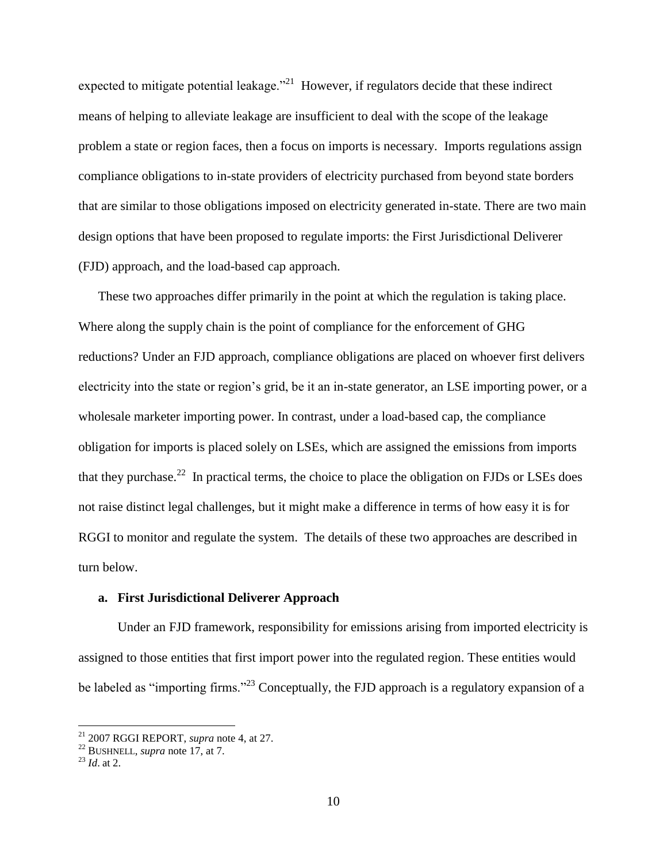expected to mitigate potential leakage."<sup>21</sup> However, if regulators decide that these indirect means of helping to alleviate leakage are insufficient to deal with the scope of the leakage problem a state or region faces, then a focus on imports is necessary. Imports regulations assign compliance obligations to in-state providers of electricity purchased from beyond state borders that are similar to those obligations imposed on electricity generated in-state. There are two main design options that have been proposed to regulate imports: the First Jurisdictional Deliverer (FJD) approach, and the load-based cap approach.

These two approaches differ primarily in the point at which the regulation is taking place. Where along the supply chain is the point of compliance for the enforcement of GHG reductions? Under an FJD approach, compliance obligations are placed on whoever first delivers electricity into the state or region's grid, be it an in-state generator, an LSE importing power, or a wholesale marketer importing power. In contrast, under a load-based cap, the compliance obligation for imports is placed solely on LSEs, which are assigned the emissions from imports that they purchase.<sup>22</sup> In practical terms, the choice to place the obligation on FJDs or LSEs does not raise distinct legal challenges, but it might make a difference in terms of how easy it is for RGGI to monitor and regulate the system. The details of these two approaches are described in turn below.

#### **a. First Jurisdictional Deliverer Approach**

Under an FJD framework, responsibility for emissions arising from imported electricity is assigned to those entities that first import power into the regulated region. These entities would be labeled as "importing firms."<sup>23</sup> Conceptually, the FJD approach is a regulatory expansion of a

<sup>21</sup> 2007 RGGI REPORT, *supra* note [4,](#page-6-0) at 27.

<sup>&</sup>lt;sup>22</sup> BUSHNELL, *supra* note [17,](#page-8-0) at 7.

<sup>23</sup> *Id*. at 2.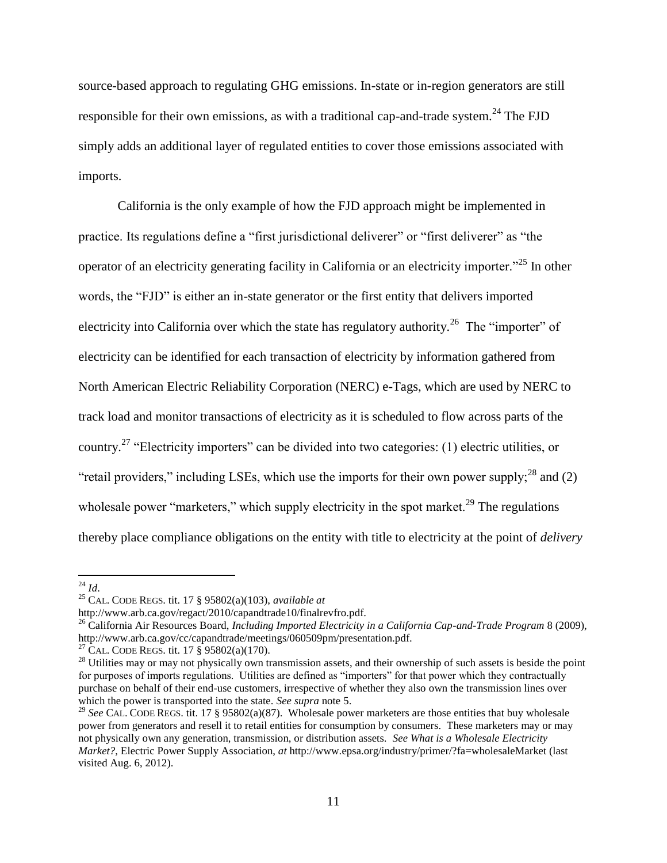source-based approach to regulating GHG emissions. In-state or in-region generators are still responsible for their own emissions, as with a traditional cap-and-trade system.<sup>24</sup> The FJD simply adds an additional layer of regulated entities to cover those emissions associated with imports.

California is the only example of how the FJD approach might be implemented in practice. Its regulations define a "first jurisdictional deliverer" or "first deliverer" as "the operator of an electricity generating facility in California or an electricity importer."<sup>25</sup> In other words, the "FJD" is either an in-state generator or the first entity that delivers imported electricity into California over which the state has regulatory authority.<sup>26</sup> The "importer" of electricity can be identified for each transaction of electricity by information gathered from North American Electric Reliability Corporation (NERC) e-Tags, which are used by NERC to track load and monitor transactions of electricity as it is scheduled to flow across parts of the country.<sup>27</sup> "Electricity importers" can be divided into two categories: (1) electric utilities, or "retail providers," including LSEs, which use the imports for their own power supply;  $^{28}$  and (2) wholesale power "marketers," which supply electricity in the spot market.<sup>29</sup> The regulations thereby place compliance obligations on the entity with title to electricity at the point of *delivery*

<sup>24</sup> *Id*.

<sup>25</sup> CAL. CODE REGS. tit. 17 § 95802(a)(103), *available at*

http://www.arb.ca.gov/regact/2010/capandtrade10/finalrevfro.pdf.

<sup>26</sup> California Air Resources Board, *Including Imported Electricity in a California Cap-and-Trade Program* 8 (2009), http://www.arb.ca.gov/cc/capandtrade/meetings/060509pm/presentation.pdf.

<sup>&</sup>lt;sup>27</sup> CAL. CODE REGS. tit. 17  $\hat{\S}$  95802(a)(170).

 $2<sup>8</sup>$  Utilities may or may not physically own transmission assets, and their ownership of such assets is beside the point for purposes of imports regulations. Utilities are defined as "importers" for that power which they contractually purchase on behalf of their end-use customers, irrespective of whether they also own the transmission lines over which the power is transported into the state. *See supra* note [5.](#page-6-1) 

<sup>&</sup>lt;sup>29</sup> See CAL. CODE REGS. tit. 17 § 95802(a)(87). Wholesale power marketers are those entities that buy wholesale power from generators and resell it to retail entities for consumption by consumers. These marketers may or may not physically own any generation, transmission, or distribution assets. *See What is a Wholesale Electricity Market?*, Electric Power Supply Association, *at* http://www.epsa.org/industry/primer/?fa=wholesaleMarket (last visited Aug. 6, 2012).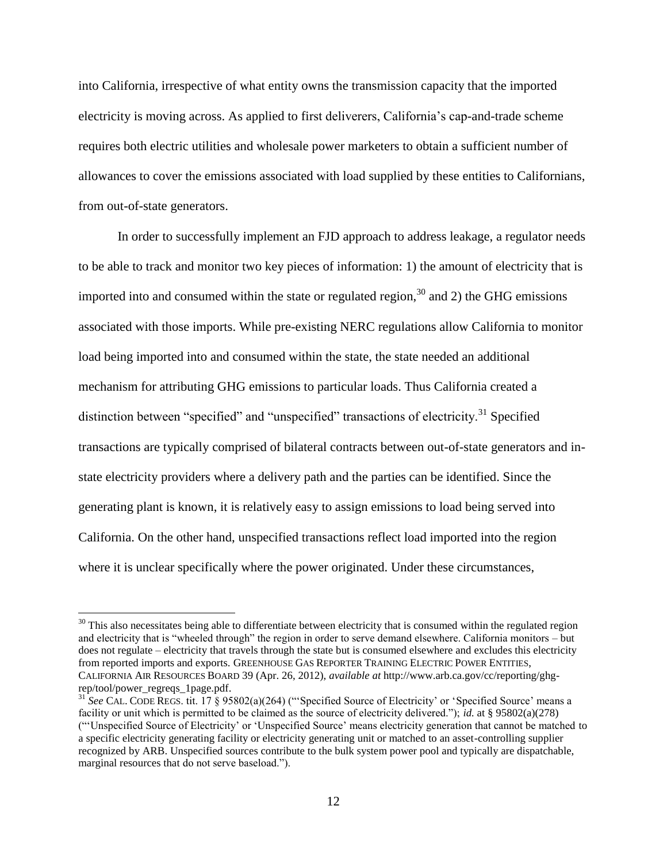into California, irrespective of what entity owns the transmission capacity that the imported electricity is moving across. As applied to first deliverers, California's cap-and-trade scheme requires both electric utilities and wholesale power marketers to obtain a sufficient number of allowances to cover the emissions associated with load supplied by these entities to Californians, from out-of-state generators.

In order to successfully implement an FJD approach to address leakage, a regulator needs to be able to track and monitor two key pieces of information: 1) the amount of electricity that is imported into and consumed within the state or regulated region,  $30$  and 2) the GHG emissions associated with those imports. While pre-existing NERC regulations allow California to monitor load being imported into and consumed within the state, the state needed an additional mechanism for attributing GHG emissions to particular loads. Thus California created a distinction between "specified" and "unspecified" transactions of electricity.<sup>31</sup> Specified transactions are typically comprised of bilateral contracts between out-of-state generators and instate electricity providers where a delivery path and the parties can be identified. Since the generating plant is known, it is relatively easy to assign emissions to load being served into California. On the other hand, unspecified transactions reflect load imported into the region where it is unclear specifically where the power originated. Under these circumstances,

 $30$  This also necessitates being able to differentiate between electricity that is consumed within the regulated region and electricity that is "wheeled through" the region in order to serve demand elsewhere. California monitors – but does not regulate – electricity that travels through the state but is consumed elsewhere and excludes this electricity from reported imports and exports. GREENHOUSE GAS REPORTER TRAINING ELECTRIC POWER ENTITIES, CALIFORNIA AIR RESOURCES BOARD 39 (Apr. 26, 2012), *available at* http://www.arb.ca.gov/cc/reporting/ghgrep/tool/power\_regreqs\_1page.pdf.

<sup>&</sup>lt;sup>31</sup> See CAL. CODE REGS. tit. 17 § 95802(a)(264) ("Specified Source of Electricity' or 'Specified Source' means a facility or unit which is permitted to be claimed as the source of electricity delivered."); *id.* at § 95802(a)(278) ("'Unspecified Source of Electricity' or 'Unspecified Source' means electricity generation that cannot be matched to a specific electricity generating facility or electricity generating unit or matched to an asset-controlling supplier recognized by ARB. Unspecified sources contribute to the bulk system power pool and typically are dispatchable, marginal resources that do not serve baseload.").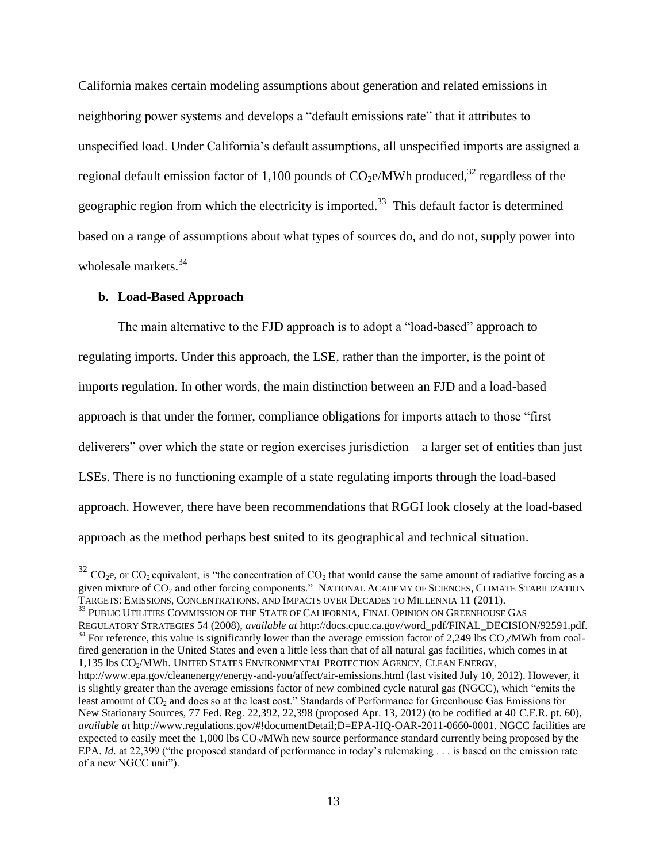California makes certain modeling assumptions about generation and related emissions in neighboring power systems and develops a "default emissions rate" that it attributes to unspecified load. Under California's default assumptions, all unspecified imports are assigned a regional default emission factor of 1,100 pounds of  $CO<sub>2</sub>e/MWh$  produced,<sup>32</sup> regardless of the geographic region from which the electricity is imported.<sup>33</sup> This default factor is determined based on a range of assumptions about what types of sources do, and do not, supply power into wholesale markets.<sup>34</sup>

#### **b. Load-Based Approach**

 $\overline{a}$ 

The main alternative to the FJD approach is to adopt a "load-based" approach to regulating imports. Under this approach, the LSE, rather than the importer, is the point of imports regulation. In other words, the main distinction between an FJD and a load-based approach is that under the former, compliance obligations for imports attach to those "first deliverers" over which the state or region exercises jurisdiction – a larger set of entities than just LSEs. There is no functioning example of a state regulating imports through the load-based approach. However, there have been recommendations that RGGI look closely at the load-based approach as the method perhaps best suited to its geographical and technical situation.

 $^{33}$  PUBLIC UTILITIES COMMISSION OF THE STATE OF CALIFORNIA, FINAL OPINION ON GREENHOUSE GAS REGULATORY STRATEGIES 54 (2008), *available at* http://docs.cpuc.ca.gov/word\_pdf/FINAL\_DECISION/92591.pdf.  $34$  For reference, this value is significantly lower than the average emission factor of 2,249 lbs  $CO<sub>2</sub>/MWh$  from coalfired generation in the United States and even a little less than that of all natural gas facilities, which comes in at 1,135 lbs CO<sub>2</sub>/MWh. UNITED STATES ENVIRONMENTAL PROTECTION AGENCY, CLEAN ENERGY, http://www.epa.gov/cleanenergy/energy-and-you/affect/air-emissions.html (last visited July 10, 2012). However, it is slightly greater than the average emissions factor of new combined cycle natural gas (NGCC), which "emits the least amount of CO<sub>2</sub> and does so at the least cost." Standards of Performance for Greenhouse Gas Emissions for New Stationary Sources, 77 Fed. Reg. 22,392, 22,398 (proposed Apr. 13, 2012) (to be codified at 40 C.F.R. pt. 60), *available at* http://www.regulations.gov/#!documentDetail;D=EPA-HQ-OAR-2011-0660-0001. NGCC facilities are

 $32$  CO<sub>2</sub>e, or CO<sub>2</sub> equivalent, is "the concentration of CO<sub>2</sub> that would cause the same amount of radiative forcing as a given mixture of CO<sub>2</sub> and other forcing components." NATIONAL ACADEMY OF SCIENCES, CLIMATE STABILIZATION TARGETS: EMISSIONS, CONCENTRATIONS, AND IMPACTS OVER DECADES TO MILLENNIA 11 (2011).

expected to easily meet the 1,000 lbs CO<sub>2</sub>/MWh new source performance standard currently being proposed by the EPA. *Id.* at 22,399 ("the proposed standard of performance in today's rulemaking . . . is based on the emission rate of a new NGCC unit").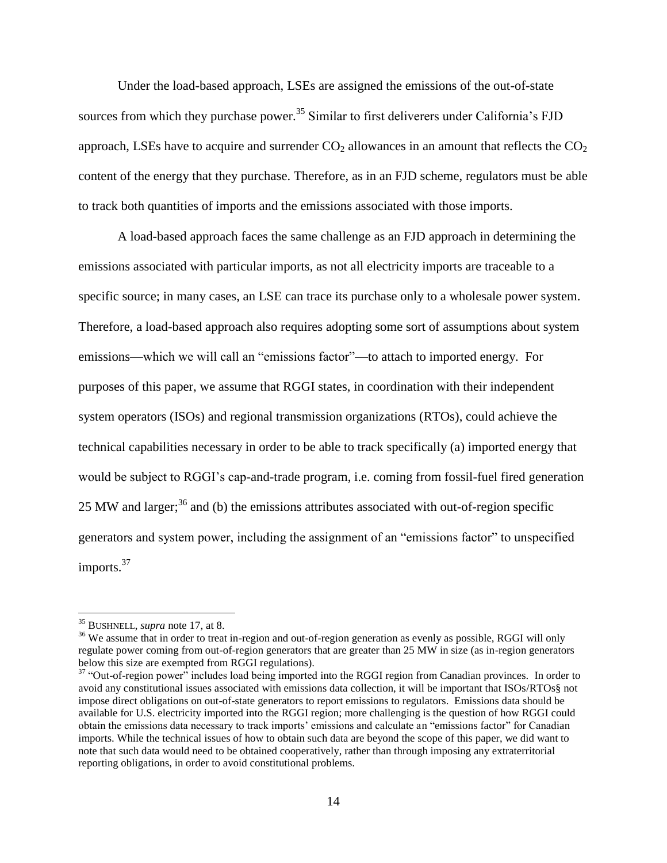Under the load-based approach, LSEs are assigned the emissions of the out-of-state sources from which they purchase power.<sup>35</sup> Similar to first deliverers under California's FJD approach, LSEs have to acquire and surrender  $CO<sub>2</sub>$  allowances in an amount that reflects the  $CO<sub>2</sub>$ content of the energy that they purchase. Therefore, as in an FJD scheme, regulators must be able to track both quantities of imports and the emissions associated with those imports.

A load-based approach faces the same challenge as an FJD approach in determining the emissions associated with particular imports, as not all electricity imports are traceable to a specific source; in many cases, an LSE can trace its purchase only to a wholesale power system. Therefore, a load-based approach also requires adopting some sort of assumptions about system emissions—which we will call an "emissions factor"—to attach to imported energy. For purposes of this paper, we assume that RGGI states, in coordination with their independent system operators (ISOs) and regional transmission organizations (RTOs), could achieve the technical capabilities necessary in order to be able to track specifically (a) imported energy that would be subject to RGGI's cap-and-trade program, i.e. coming from fossil-fuel fired generation 25 MW and larger; $36$  and (b) the emissions attributes associated with out-of-region specific generators and system power, including the assignment of an "emissions factor" to unspecified imports.<sup>37</sup>

<sup>35</sup> BUSHNELL, *supra* note [17,](#page-8-0) at 8.

<sup>&</sup>lt;sup>36</sup> We assume that in order to treat in-region and out-of-region generation as evenly as possible, RGGI will only regulate power coming from out-of-region generators that are greater than 25 MW in size (as in-region generators below this size are exempted from RGGI regulations).

<sup>&</sup>lt;sup>37</sup> "Out-of-region power" includes load being imported into the RGGI region from Canadian provinces. In order to avoid any constitutional issues associated with emissions data collection, it will be important that ISOs/RTOs§ not impose direct obligations on out-of-state generators to report emissions to regulators. Emissions data should be available for U.S. electricity imported into the RGGI region; more challenging is the question of how RGGI could obtain the emissions data necessary to track imports' emissions and calculate an "emissions factor" for Canadian imports. While the technical issues of how to obtain such data are beyond the scope of this paper, we did want to note that such data would need to be obtained cooperatively, rather than through imposing any extraterritorial reporting obligations, in order to avoid constitutional problems.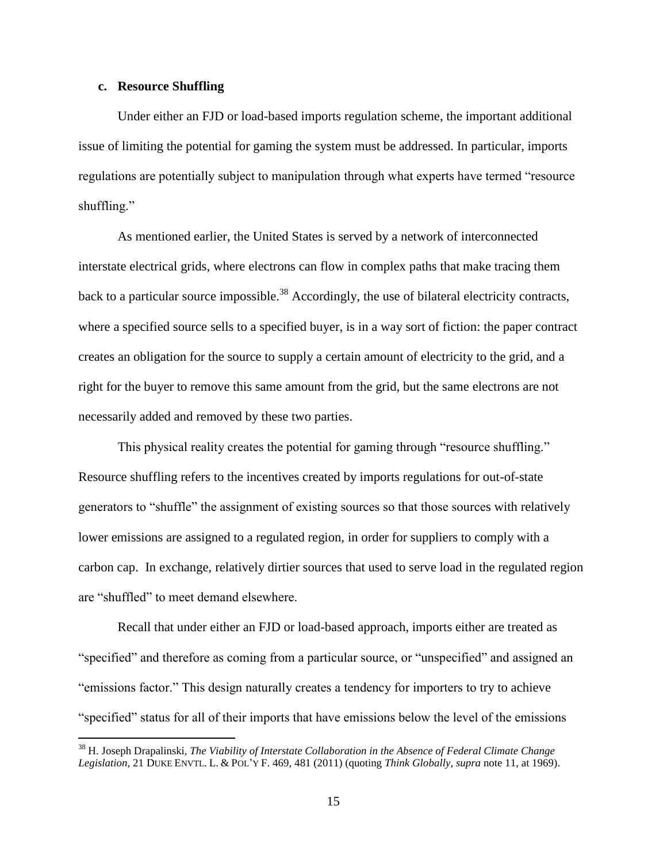#### **c. Resource Shuffling**

 $\overline{a}$ 

Under either an FJD or load-based imports regulation scheme, the important additional issue of limiting the potential for gaming the system must be addressed. In particular, imports regulations are potentially subject to manipulation through what experts have termed "resource shuffling."

As mentioned earlier, the United States is served by a network of interconnected interstate electrical grids, where electrons can flow in complex paths that make tracing them back to a particular source impossible.<sup>38</sup> Accordingly, the use of bilateral electricity contracts, where a specified source sells to a specified buyer, is in a way sort of fiction: the paper contract creates an obligation for the source to supply a certain amount of electricity to the grid, and a right for the buyer to remove this same amount from the grid, but the same electrons are not necessarily added and removed by these two parties.

This physical reality creates the potential for gaming through "resource shuffling." Resource shuffling refers to the incentives created by imports regulations for out-of-state generators to "shuffle" the assignment of existing sources so that those sources with relatively lower emissions are assigned to a regulated region, in order for suppliers to comply with a carbon cap. In exchange, relatively dirtier sources that used to serve load in the regulated region are "shuffled" to meet demand elsewhere.

Recall that under either an FJD or load-based approach, imports either are treated as "specified" and therefore as coming from a particular source, or "unspecified" and assigned an "emissions factor." This design naturally creates a tendency for importers to try to achieve "specified" status for all of their imports that have emissions below the level of the emissions

<sup>38</sup> H. Joseph Drapalinski, *The Viability of Interstate Collaboration in the Absence of Federal Climate Change Legislation*, 21 DUKE ENVTL. L. & POL'Y F. 469, 481 (2011) (quoting *Think Globally*, *supra* not[e 11,](#page-7-0) at 1969).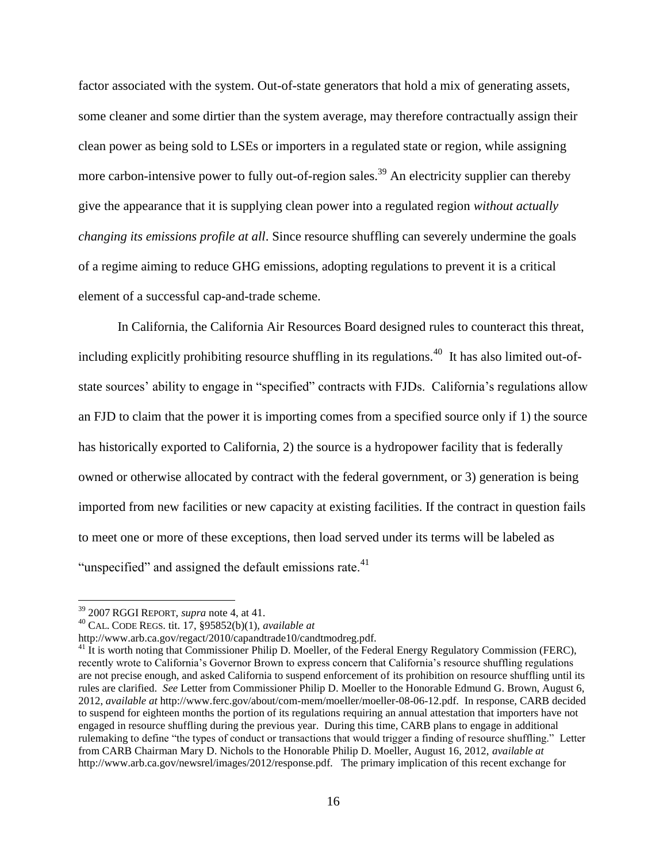factor associated with the system. Out-of-state generators that hold a mix of generating assets, some cleaner and some dirtier than the system average, may therefore contractually assign their clean power as being sold to LSEs or importers in a regulated state or region, while assigning more carbon-intensive power to fully out-of-region sales.<sup>39</sup> An electricity supplier can thereby give the appearance that it is supplying clean power into a regulated region *without actually changing its emissions profile at all*. Since resource shuffling can severely undermine the goals of a regime aiming to reduce GHG emissions, adopting regulations to prevent it is a critical element of a successful cap-and-trade scheme.

In California, the California Air Resources Board designed rules to counteract this threat, including explicitly prohibiting resource shuffling in its regulations.<sup>40</sup> It has also limited out-ofstate sources' ability to engage in "specified" contracts with FJDs. California's regulations allow an FJD to claim that the power it is importing comes from a specified source only if 1) the source has historically exported to California, 2) the source is a hydropower facility that is federally owned or otherwise allocated by contract with the federal government, or 3) generation is being imported from new facilities or new capacity at existing facilities. If the contract in question fails to meet one or more of these exceptions, then load served under its terms will be labeled as "unspecified" and assigned the default emissions rate. $41$ 

<sup>39</sup> 2007 RGGI REPORT, *supra* note [4,](#page-6-0) at 41.

<sup>40</sup> CAL. CODE REGS. tit. 17, §95852(b)(1), *available at*

http://www.arb.ca.gov/regact/2010/capandtrade10/candtmodreg.pdf.

<sup>&</sup>lt;sup>41</sup> It is worth noting that Commissioner Philip D. Moeller, of the Federal Energy Regulatory Commission (FERC), recently wrote to California's Governor Brown to express concern that California's resource shuffling regulations are not precise enough, and asked California to suspend enforcement of its prohibition on resource shuffling until its rules are clarified. *See* Letter from Commissioner Philip D. Moeller to the Honorable Edmund G. Brown, August 6, 2012, *available at* http://www.ferc.gov/about/com-mem/moeller/moeller-08-06-12.pdf. In response, CARB decided to suspend for eighteen months the portion of its regulations requiring an annual attestation that importers have not engaged in resource shuffling during the previous year. During this time, CARB plans to engage in additional rulemaking to define "the types of conduct or transactions that would trigger a finding of resource shuffling." Letter from CARB Chairman Mary D. Nichols to the Honorable Philip D. Moeller, August 16, 2012, *available at*  http://www.arb.ca.gov/newsrel/images/2012/response.pdf. The primary implication of this recent exchange for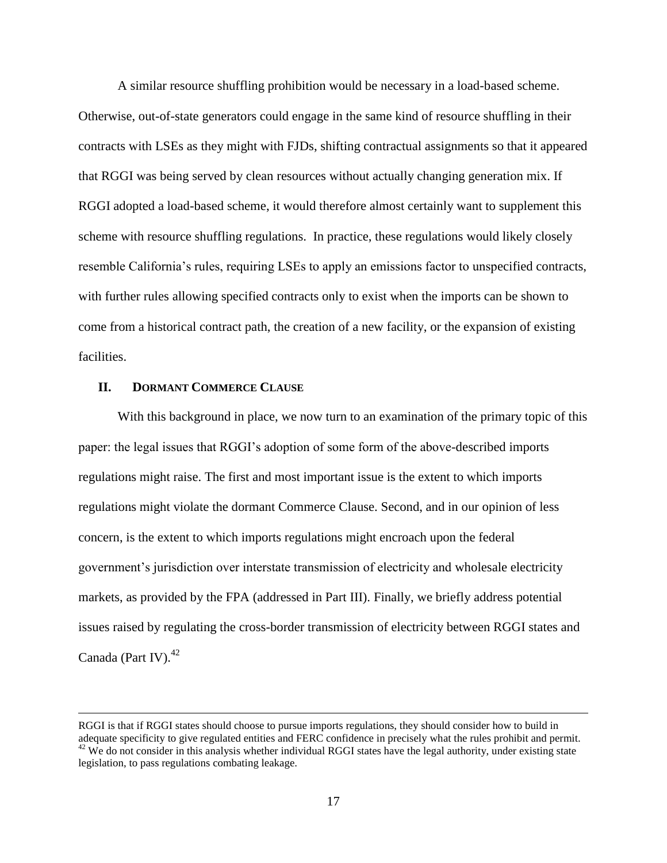A similar resource shuffling prohibition would be necessary in a load-based scheme. Otherwise, out-of-state generators could engage in the same kind of resource shuffling in their contracts with LSEs as they might with FJDs, shifting contractual assignments so that it appeared that RGGI was being served by clean resources without actually changing generation mix. If RGGI adopted a load-based scheme, it would therefore almost certainly want to supplement this scheme with resource shuffling regulations. In practice, these regulations would likely closely resemble California's rules, requiring LSEs to apply an emissions factor to unspecified contracts, with further rules allowing specified contracts only to exist when the imports can be shown to come from a historical contract path, the creation of a new facility, or the expansion of existing facilities.

#### **II. DORMANT COMMERCE CLAUSE**

 $\overline{a}$ 

With this background in place, we now turn to an examination of the primary topic of this paper: the legal issues that RGGI's adoption of some form of the above-described imports regulations might raise. The first and most important issue is the extent to which imports regulations might violate the dormant Commerce Clause. Second, and in our opinion of less concern, is the extent to which imports regulations might encroach upon the federal government's jurisdiction over interstate transmission of electricity and wholesale electricity markets, as provided by the FPA (addressed in Part III). Finally, we briefly address potential issues raised by regulating the cross-border transmission of electricity between RGGI states and Canada (Part IV). $42$ 

RGGI is that if RGGI states should choose to pursue imports regulations, they should consider how to build in adequate specificity to give regulated entities and FERC confidence in precisely what the rules prohibit and permit.  $42$  We do not consider in this analysis whether individual RGGI states have the legal authority, under existing state legislation, to pass regulations combating leakage.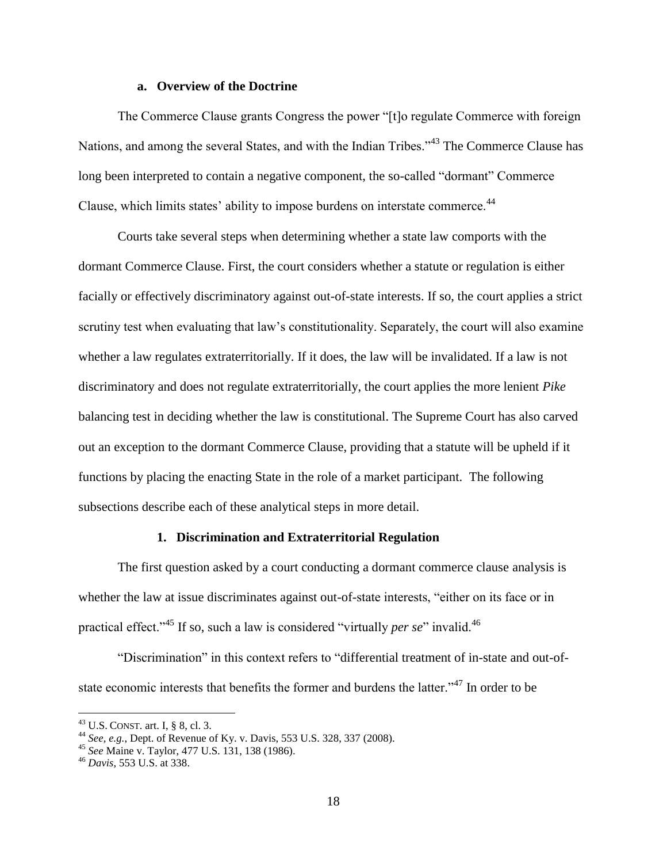#### **a. Overview of the Doctrine**

The Commerce Clause grants Congress the power "[t]o regulate Commerce with foreign Nations, and among the several States, and with the Indian Tribes."<sup>43</sup> The Commerce Clause has long been interpreted to contain a negative component, the so-called "dormant" Commerce Clause, which limits states' ability to impose burdens on interstate commerce.<sup>44</sup>

Courts take several steps when determining whether a state law comports with the dormant Commerce Clause. First, the court considers whether a statute or regulation is either facially or effectively discriminatory against out-of-state interests. If so, the court applies a strict scrutiny test when evaluating that law's constitutionality. Separately, the court will also examine whether a law regulates extraterritorially. If it does, the law will be invalidated. If a law is not discriminatory and does not regulate extraterritorially, the court applies the more lenient *Pike* balancing test in deciding whether the law is constitutional. The Supreme Court has also carved out an exception to the dormant Commerce Clause, providing that a statute will be upheld if it functions by placing the enacting State in the role of a market participant. The following subsections describe each of these analytical steps in more detail.

#### **1. Discrimination and Extraterritorial Regulation**

The first question asked by a court conducting a dormant commerce clause analysis is whether the law at issue discriminates against out-of-state interests, "either on its face or in practical effect."<sup>45</sup> If so, such a law is considered "virtually *per se*" invalid.<sup>46</sup>

"Discrimination" in this context refers to "differential treatment of in-state and out-ofstate economic interests that benefits the former and burdens the latter."<sup>47</sup> In order to be

 $^{43}$  U.S. CONST. art. I, § 8, cl. 3.

<sup>44</sup> *See, e.g.*, Dept. of Revenue of Ky. v. Davis, 553 U.S. 328, 337 (2008).

<sup>45</sup> *See* Maine v. Taylor, 477 U.S. 131, 138 (1986).

<sup>46</sup> *Davis*, 553 U.S. at 338.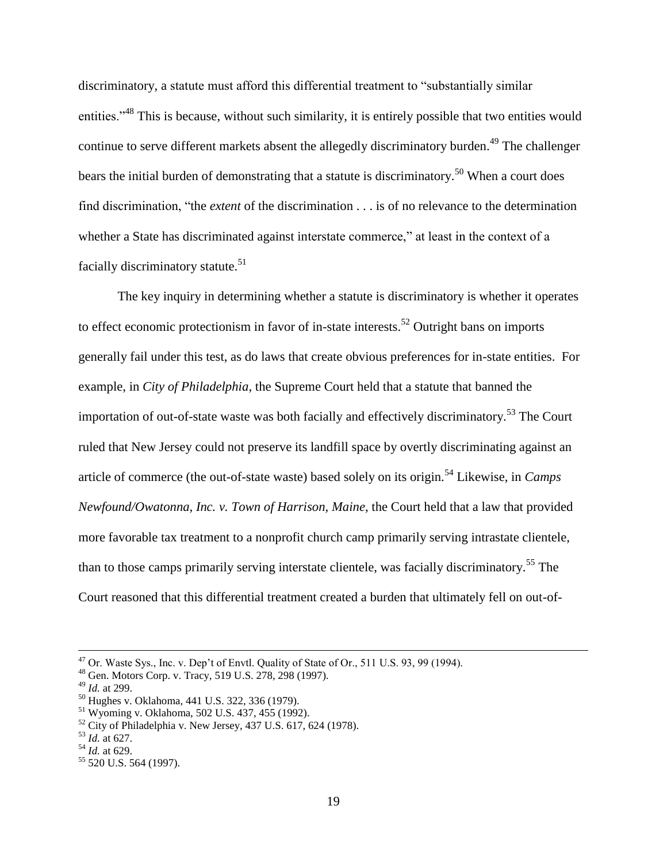discriminatory, a statute must afford this differential treatment to "substantially similar entities."<sup>48</sup> This is because, without such similarity, it is entirely possible that two entities would continue to serve different markets absent the allegedly discriminatory burden.<sup>49</sup> The challenger bears the initial burden of demonstrating that a statute is discriminatory.<sup>50</sup> When a court does find discrimination, "the *extent* of the discrimination . . . is of no relevance to the determination whether a State has discriminated against interstate commerce," at least in the context of a facially discriminatory statute.<sup>51</sup>

The key inquiry in determining whether a statute is discriminatory is whether it operates to effect economic protectionism in favor of in-state interests.<sup>52</sup> Outright bans on imports generally fail under this test, as do laws that create obvious preferences for in-state entities. For example, in *City of Philadelphia*, the Supreme Court held that a statute that banned the importation of out-of-state waste was both facially and effectively discriminatory.<sup>53</sup> The Court ruled that New Jersey could not preserve its landfill space by overtly discriminating against an article of commerce (the out-of-state waste) based solely on its origin.<sup>54</sup> Likewise, in *Camps Newfound/Owatonna, Inc. v. Town of Harrison, Maine*, the Court held that a law that provided more favorable tax treatment to a nonprofit church camp primarily serving intrastate clientele, than to those camps primarily serving interstate clientele, was facially discriminatory.<sup>55</sup> The Court reasoned that this differential treatment created a burden that ultimately fell on out-of-

 $47$  Or. Waste Sys., Inc. v. Dep't of Envtl. Quality of State of Or., 511 U.S. 93, 99 (1994).

<sup>48</sup> Gen. Motors Corp. v. Tracy, 519 U.S. 278, 298 (1997).

<sup>49</sup> *Id.* at 299.

<sup>50</sup> Hughes v. Oklahoma, 441 U.S. 322, 336 (1979).

<sup>51</sup> Wyoming v. Oklahoma, 502 U.S. 437, 455 (1992).

 $52$  City of Philadelphia v. New Jersey, 437 U.S. 617, 624 (1978).

<sup>53</sup> *Id.* at 627.

<sup>54</sup> *Id.* at 629.

<sup>55</sup> 520 U.S. 564 (1997).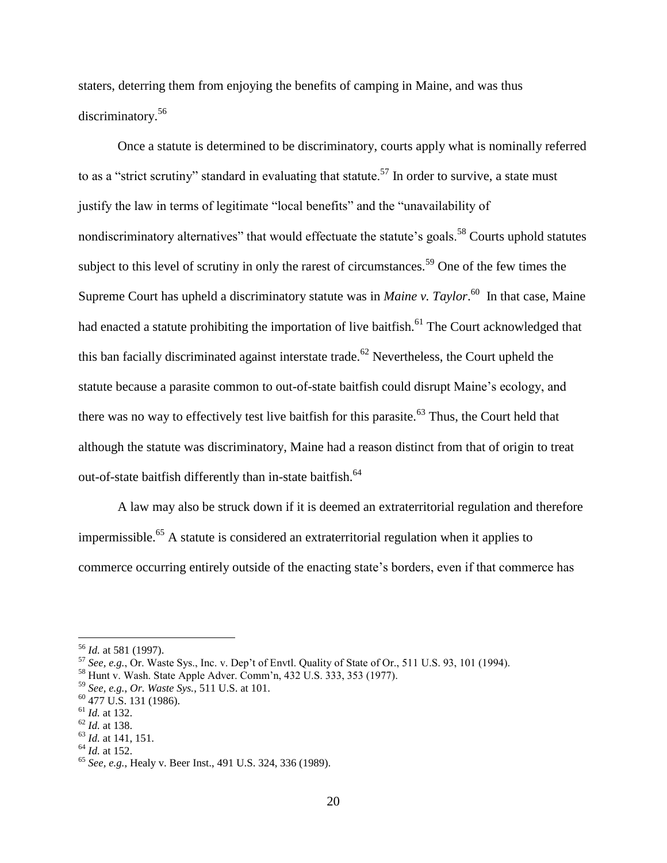staters, deterring them from enjoying the benefits of camping in Maine, and was thus discriminatory.<sup>56</sup>

Once a statute is determined to be discriminatory, courts apply what is nominally referred to as a "strict scrutiny" standard in evaluating that statute.<sup>57</sup> In order to survive, a state must justify the law in terms of legitimate "local benefits" and the "unavailability of nondiscriminatory alternatives" that would effectuate the statute's goals.<sup>58</sup> Courts uphold statutes subject to this level of scrutiny in only the rarest of circumstances.<sup>59</sup> One of the few times the Supreme Court has upheld a discriminatory statute was in *Maine v. Taylor*.<sup>60</sup> In that case, Maine had enacted a statute prohibiting the importation of live baitfish.<sup>61</sup> The Court acknowledged that this ban facially discriminated against interstate trade.<sup>62</sup> Nevertheless, the Court upheld the statute because a parasite common to out-of-state baitfish could disrupt Maine's ecology, and there was no way to effectively test live bait fish for this parasite.<sup>63</sup> Thus, the Court held that although the statute was discriminatory, Maine had a reason distinct from that of origin to treat out-of-state baitfish differently than in-state baitfish.<sup>64</sup>

A law may also be struck down if it is deemed an extraterritorial regulation and therefore impermissible.<sup>65</sup> A statute is considered an extraterritorial regulation when it applies to commerce occurring entirely outside of the enacting state's borders, even if that commerce has

<sup>56</sup> *Id.* at 581 (1997).

 $\frac{57}{2}$  *See, e.g.*, Or. Waste Sys., Inc. v. Dep't of Envtl. Quality of State of Or., 511 U.S. 93, 101 (1994).

<sup>58</sup> Hunt v. Wash. State Apple Adver. Comm'n, 432 U.S. 333, 353 (1977).

<sup>59</sup> *See, e.g.*, *Or. Waste Sys.*, 511 U.S. at 101.

 $^{60}$  477 U.S. 131 (1986).

<sup>61</sup> *Id.* at 132.

<sup>62</sup> *Id.* at 138.

<sup>63</sup> *Id.* at 141, 151.

 $^{64}$  *Id.* at 152.

<sup>65</sup> *See, e.g.*, Healy v. Beer Inst., 491 U.S. 324, 336 (1989).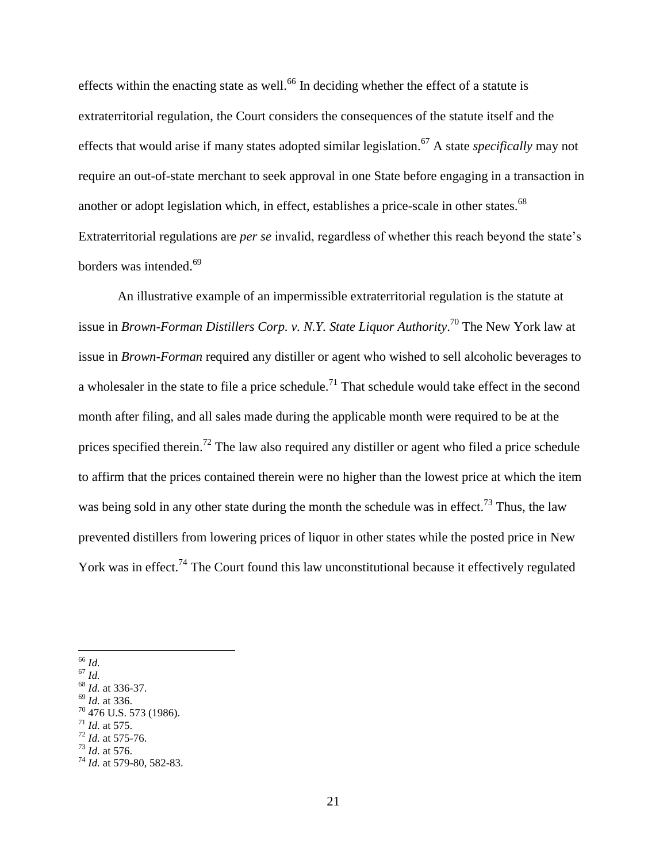effects within the enacting state as well.<sup>66</sup> In deciding whether the effect of a statute is extraterritorial regulation, the Court considers the consequences of the statute itself and the effects that would arise if many states adopted similar legislation.<sup>67</sup> A state *specifically* may not require an out-of-state merchant to seek approval in one State before engaging in a transaction in another or adopt legislation which, in effect, establishes a price-scale in other states.<sup>68</sup> Extraterritorial regulations are *per se* invalid, regardless of whether this reach beyond the state's borders was intended.<sup>69</sup>

An illustrative example of an impermissible extraterritorial regulation is the statute at issue in *Brown-Forman Distillers Corp. v. N.Y. State Liquor Authority*. <sup>70</sup> The New York law at issue in *Brown-Forman* required any distiller or agent who wished to sell alcoholic beverages to a wholesaler in the state to file a price schedule.<sup>71</sup> That schedule would take effect in the second month after filing, and all sales made during the applicable month were required to be at the prices specified therein.<sup>72</sup> The law also required any distiller or agent who filed a price schedule to affirm that the prices contained therein were no higher than the lowest price at which the item was being sold in any other state during the month the schedule was in effect.<sup>73</sup> Thus, the law prevented distillers from lowering prices of liquor in other states while the posted price in New York was in effect.<sup>74</sup> The Court found this law unconstitutional because it effectively regulated

<sup>67</sup> *Id.*

<sup>69</sup> *Id.* at 336.

- $71$  *Id.* at 575.
- <sup>72</sup> *Id.* at 575-76.

 $\overline{a}$ <sup>66</sup> *Id.*

<sup>68</sup> *Id.* at 336-37.

 $70$  476 U.S. 573 (1986).

<sup>73</sup> *Id.* at 576.

<sup>74</sup> *Id.* at 579-80, 582-83.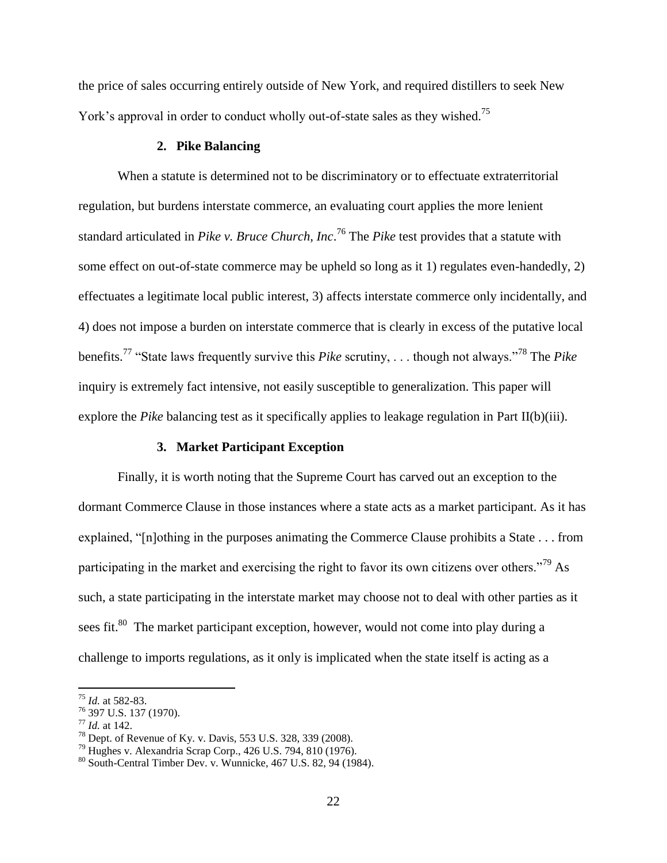the price of sales occurring entirely outside of New York, and required distillers to seek New York's approval in order to conduct wholly out-of-state sales as they wished.<sup>75</sup>

#### **2. Pike Balancing**

When a statute is determined not to be discriminatory or to effectuate extraterritorial regulation, but burdens interstate commerce, an evaluating court applies the more lenient standard articulated in *Pike v. Bruce Church, Inc*. <sup>76</sup> The *Pike* test provides that a statute with some effect on out-of-state commerce may be upheld so long as it 1) regulates even-handedly, 2) effectuates a legitimate local public interest, 3) affects interstate commerce only incidentally, and 4) does not impose a burden on interstate commerce that is clearly in excess of the putative local benefits.<sup>77</sup> "State laws frequently survive this *[Pike](https://1.next.westlaw.com/Link/Document/FullText?findType=Y&serNum=1970134191&originationContext=document&transitionType=DocumentItem&contextData=%28sc.DocLink%29)* scrutiny, . . . though not always."<sup>78</sup> The *Pike*  inquiry is extremely fact intensive, not easily susceptible to generalization. This paper will explore the *Pike* balancing test as it specifically applies to leakage regulation in Part II(b)(iii).

#### **3. Market Participant Exception**

Finally, it is worth noting that the Supreme Court has carved out an exception to the dormant Commerce Clause in those instances where a state acts as a market participant. As it has explained, "[n]othing in the purposes animating the Commerce Clause prohibits a State . . . from participating in the market and exercising the right to favor its own citizens over others."<sup>79</sup> As such, a state participating in the interstate market may choose not to deal with other parties as it sees fit.<sup>80</sup> The market participant exception, however, would not come into play during a challenge to imports regulations, as it only is implicated when the state itself is acting as a

<sup>75</sup> *Id.* at 582-83.

<sup>76</sup> 397 U.S. 137 (1970).

<sup>77</sup> *Id.* at 142.

 $^{78}$  Dept. of Revenue of Ky. v. Davis, 553 U.S. 328, 339 (2008).

<sup>79</sup> Hughes v. Alexandria Scrap Corp., 426 U.S. 794, 810 (1976).

<sup>80</sup> South-Central Timber Dev. v. Wunnicke, 467 U.S. 82, 94 (1984).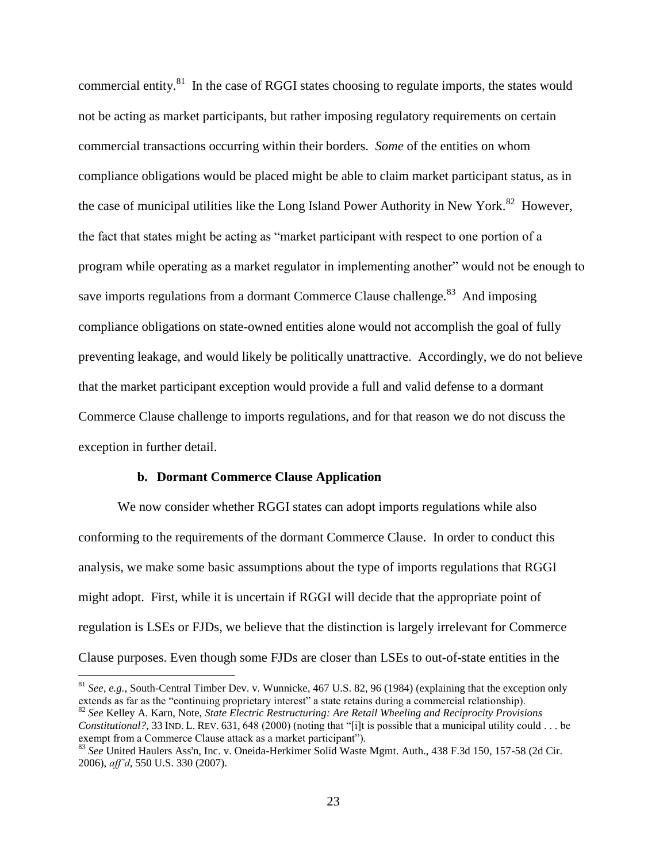commercial entity. $81$  In the case of RGGI states choosing to regulate imports, the states would not be acting as market participants, but rather imposing regulatory requirements on certain commercial transactions occurring within their borders. *Some* of the entities on whom compliance obligations would be placed might be able to claim market participant status, as in the case of municipal utilities like the Long Island Power Authority in New York.<sup>82</sup> However, the fact that states might be acting as "market participant with respect to one portion of a program while operating as a market regulator in implementing another" would not be enough to save imports regulations from a dormant Commerce Clause challenge.<sup>83</sup> And imposing compliance obligations on state-owned entities alone would not accomplish the goal of fully preventing leakage, and would likely be politically unattractive. Accordingly, we do not believe that the market participant exception would provide a full and valid defense to a dormant Commerce Clause challenge to imports regulations, and for that reason we do not discuss the exception in further detail.

#### **b. Dormant Commerce Clause Application**

 $\overline{a}$ 

We now consider whether RGGI states can adopt imports regulations while also conforming to the requirements of the dormant Commerce Clause. In order to conduct this analysis, we make some basic assumptions about the type of imports regulations that RGGI might adopt. First, while it is uncertain if RGGI will decide that the appropriate point of regulation is LSEs or FJDs, we believe that the distinction is largely irrelevant for Commerce Clause purposes. Even though some FJDs are closer than LSEs to out-of-state entities in the

<sup>82</sup> *See* Kelley A. Karn, Note, *State Electric Restructuring: Are Retail Wheeling and Reciprocity Provisions Constitutional?*, 33 IND. L. REV. 631, 648 (2000) (noting that "[i]t is possible that a municipal utility could . . . be exempt from a Commerce Clause attack as a market participant").

<sup>81</sup> *See, e.g.*, South-Central Timber Dev. v. Wunnicke, 467 U.S. 82, 96 (1984) (explaining that the exception only extends as far as the "continuing proprietary interest" a state retains during a commercial relationship).

<sup>83</sup> *See* United Haulers Ass'n, Inc. v. Oneida-Herkimer Solid Waste Mgmt. Auth., 438 F.3d 150, 157-58 (2d Cir. 2006), *aff'd*, 550 U.S. 330 (2007).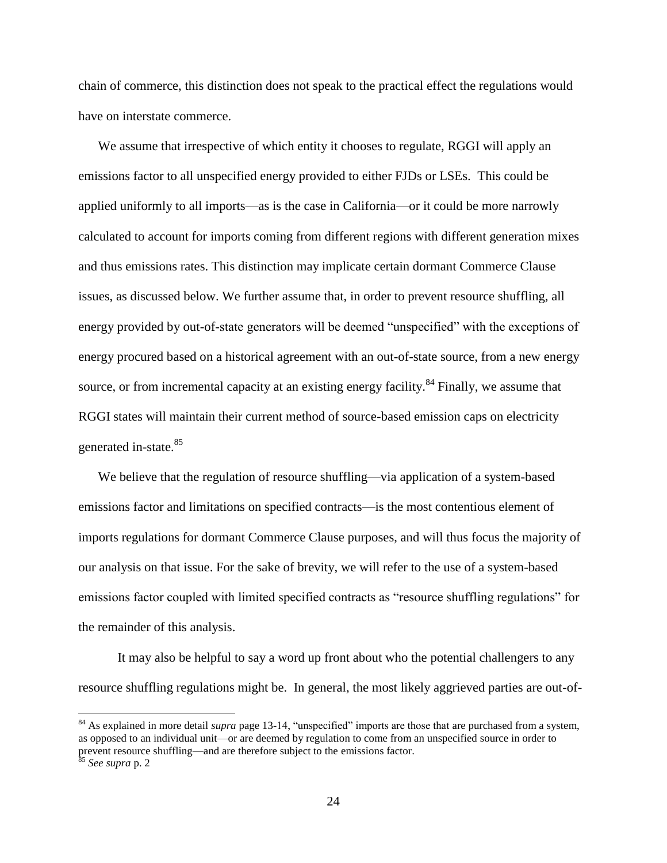chain of commerce, this distinction does not speak to the practical effect the regulations would have on interstate commerce.

We assume that irrespective of which entity it chooses to regulate, RGGI will apply an emissions factor to all unspecified energy provided to either FJDs or LSEs. This could be applied uniformly to all imports—as is the case in California—or it could be more narrowly calculated to account for imports coming from different regions with different generation mixes and thus emissions rates. This distinction may implicate certain dormant Commerce Clause issues, as discussed below. We further assume that, in order to prevent resource shuffling, all energy provided by out-of-state generators will be deemed "unspecified" with the exceptions of energy procured based on a historical agreement with an out-of-state source, from a new energy source, or from incremental capacity at an existing energy facility.<sup>84</sup> Finally, we assume that RGGI states will maintain their current method of source-based emission caps on electricity generated in-state.<sup>85</sup>

We believe that the regulation of resource shuffling—via application of a system-based emissions factor and limitations on specified contracts—is the most contentious element of imports regulations for dormant Commerce Clause purposes, and will thus focus the majority of our analysis on that issue. For the sake of brevity, we will refer to the use of a system-based emissions factor coupled with limited specified contracts as "resource shuffling regulations" for the remainder of this analysis.

It may also be helpful to say a word up front about who the potential challengers to any resource shuffling regulations might be. In general, the most likely aggrieved parties are out-of-

<sup>&</sup>lt;sup>84</sup> As explained in more detail *supra* page 13-14, "unspecified" imports are those that are purchased from a system, as opposed to an individual unit—or are deemed by regulation to come from an unspecified source in order to prevent resource shuffling—and are therefore subject to the emissions factor.

<sup>85</sup> *See supra* p. 2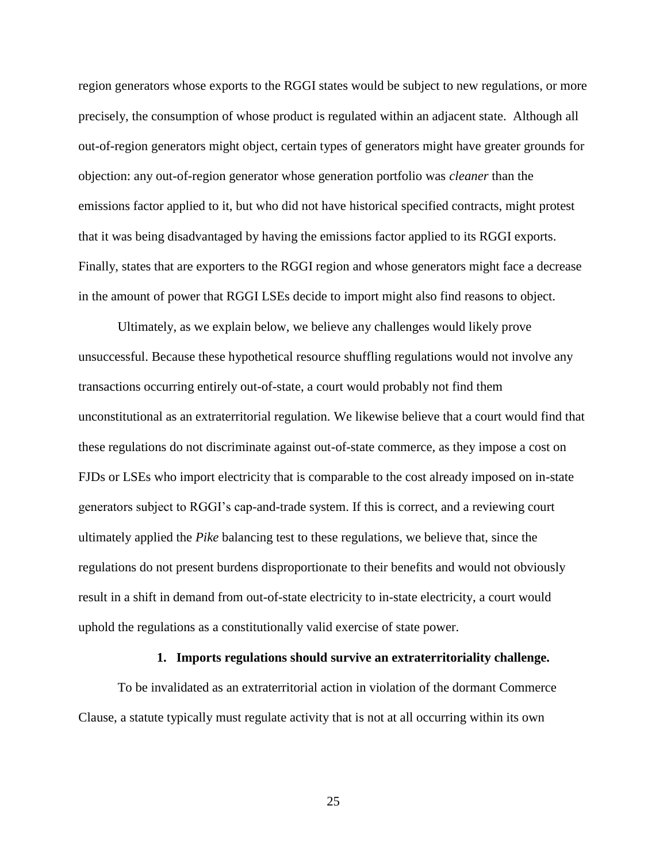region generators whose exports to the RGGI states would be subject to new regulations, or more precisely, the consumption of whose product is regulated within an adjacent state. Although all out-of-region generators might object, certain types of generators might have greater grounds for objection: any out-of-region generator whose generation portfolio was *cleaner* than the emissions factor applied to it, but who did not have historical specified contracts, might protest that it was being disadvantaged by having the emissions factor applied to its RGGI exports. Finally, states that are exporters to the RGGI region and whose generators might face a decrease in the amount of power that RGGI LSEs decide to import might also find reasons to object.

Ultimately, as we explain below, we believe any challenges would likely prove unsuccessful. Because these hypothetical resource shuffling regulations would not involve any transactions occurring entirely out-of-state, a court would probably not find them unconstitutional as an extraterritorial regulation. We likewise believe that a court would find that these regulations do not discriminate against out-of-state commerce, as they impose a cost on FJDs or LSEs who import electricity that is comparable to the cost already imposed on in-state generators subject to RGGI's cap-and-trade system. If this is correct, and a reviewing court ultimately applied the *Pike* balancing test to these regulations, we believe that, since the regulations do not present burdens disproportionate to their benefits and would not obviously result in a shift in demand from out-of-state electricity to in-state electricity, a court would uphold the regulations as a constitutionally valid exercise of state power.

#### **1. Imports regulations should survive an extraterritoriality challenge.**

To be invalidated as an extraterritorial action in violation of the dormant Commerce Clause, a statute typically must regulate activity that is not at all occurring within its own

25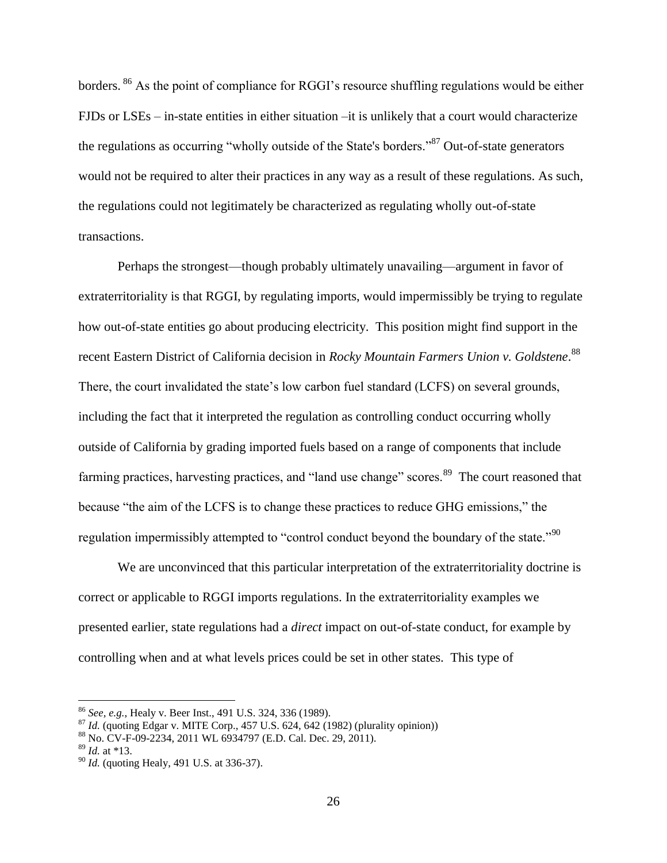borders. <sup>86</sup> As the point of compliance for RGGI's resource shuffling regulations would be either FJDs or LSEs – in-state entities in either situation –it is unlikely that a court would characterize the regulations as occurring "wholly outside of the State's borders."<sup>87</sup> Out-of-state generators would not be required to alter their practices in any way as a result of these regulations. As such, the regulations could not legitimately be characterized as regulating wholly out-of-state transactions.

Perhaps the strongest—though probably ultimately unavailing—argument in favor of extraterritoriality is that RGGI, by regulating imports, would impermissibly be trying to regulate how out-of-state entities go about producing electricity. This position might find support in the recent Eastern District of California decision in *Rocky Mountain Farmers Union v. Goldstene*. 88 There, the court invalidated the state's low carbon fuel standard (LCFS) on several grounds, including the fact that it interpreted the regulation as controlling conduct occurring wholly outside of California by grading imported fuels based on a range of components that include farming practices, harvesting practices, and "land use change" scores.<sup>89</sup> The court reasoned that because "the aim of the LCFS is to change these practices to reduce GHG emissions," the regulation impermissibly attempted to "control conduct beyond the boundary of the state."<sup>90</sup>

We are unconvinced that this particular interpretation of the extraterritoriality doctrine is correct or applicable to RGGI imports regulations. In the extraterritoriality examples we presented earlier, state regulations had a *direct* impact on out-of-state conduct, for example by controlling when and at what levels prices could be set in other states. This type of

<sup>86</sup> *See, e.g.*, Healy v. Beer Inst., 491 U.S. 324, 336 (1989).

<sup>87</sup> *Id.* (quoting Edgar v. MITE Corp., 457 U.S. 624, 642 (1982) (plurality opinion))

<sup>88</sup> No. CV-F-09-2234, 2011 WL 6934797 (E.D. Cal. Dec. 29, 2011).

<sup>89</sup> *Id.* at \*13.

<sup>90</sup> *Id.* (quoting Healy, 491 U.S. at 336-37).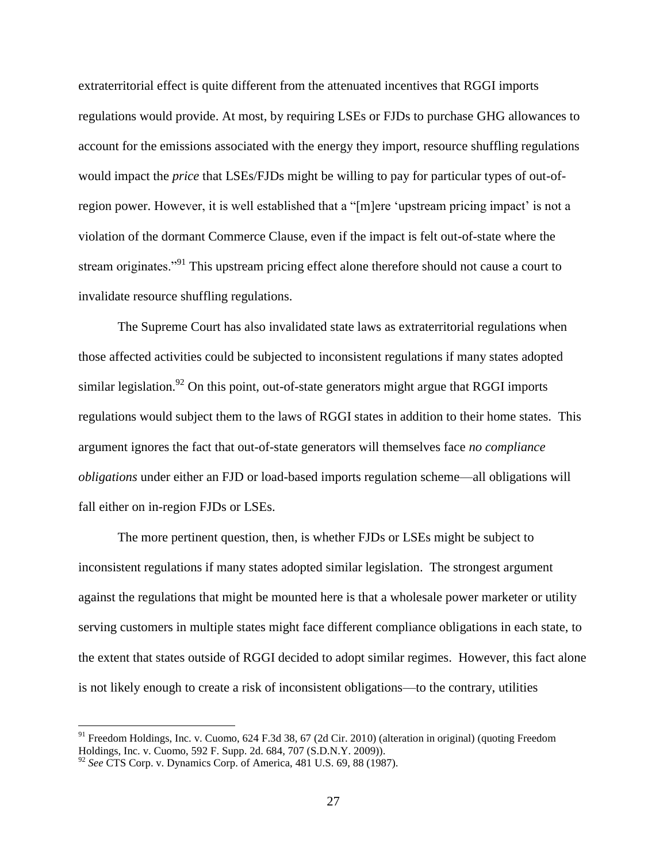extraterritorial effect is quite different from the attenuated incentives that RGGI imports regulations would provide. At most, by requiring LSEs or FJDs to purchase GHG allowances to account for the emissions associated with the energy they import, resource shuffling regulations would impact the *price* that LSEs/FJDs might be willing to pay for particular types of out-ofregion power. However, it is well established that a "[m]ere 'upstream pricing impact' is not a violation of the dormant Commerce Clause, even if the impact is felt out-of-state where the stream originates."<sup>91</sup> This upstream pricing effect alone therefore should not cause a court to invalidate resource shuffling regulations.

The Supreme Court has also invalidated state laws as extraterritorial regulations when those affected activities could be subjected to inconsistent regulations if many states adopted similar legislation.<sup>92</sup> On this point, out-of-state generators might argue that RGGI imports regulations would subject them to the laws of RGGI states in addition to their home states. This argument ignores the fact that out-of-state generators will themselves face *no compliance obligations* under either an FJD or load-based imports regulation scheme—all obligations will fall either on in-region FJDs or LSEs.

The more pertinent question, then, is whether FJDs or LSEs might be subject to inconsistent regulations if many states adopted similar legislation. The strongest argument against the regulations that might be mounted here is that a wholesale power marketer or utility serving customers in multiple states might face different compliance obligations in each state, to the extent that states outside of RGGI decided to adopt similar regimes. However, this fact alone is not likely enough to create a risk of inconsistent obligations—to the contrary, utilities

 $91$  Freedom Holdings, Inc. v. Cuomo, 624 F.3d 38, 67 (2d Cir. 2010) (alteration in original) (quoting Freedom Holdings, Inc. v. Cuomo, 592 F. Supp. 2d. 684, 707 (S.D.N.Y. 2009)).

<sup>92</sup> *See* CTS Corp. v. Dynamics Corp. of America, 481 U.S. 69, 88 (1987).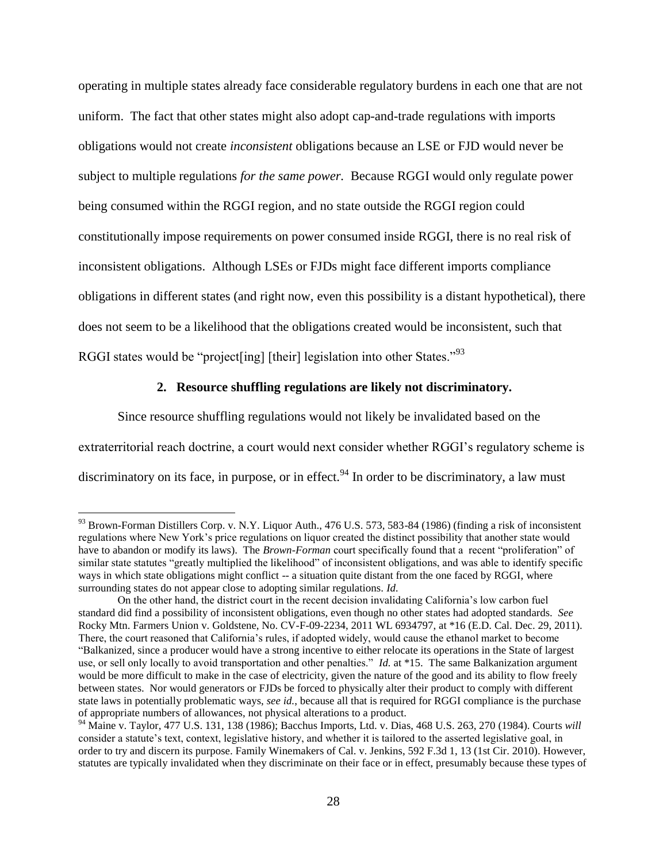operating in multiple states already face considerable regulatory burdens in each one that are not uniform. The fact that other states might also adopt cap-and-trade regulations with imports obligations would not create *inconsistent* obligations because an LSE or FJD would never be subject to multiple regulations *for the same power.* Because RGGI would only regulate power being consumed within the RGGI region, and no state outside the RGGI region could constitutionally impose requirements on power consumed inside RGGI, there is no real risk of inconsistent obligations. Although LSEs or FJDs might face different imports compliance obligations in different states (and right now, even this possibility is a distant hypothetical), there does not seem to be a likelihood that the obligations created would be inconsistent, such that RGGI states would be "project[ing] [their] legislation into other States."<sup>93</sup>

#### **2. Resource shuffling regulations are likely not discriminatory.**

Since resource shuffling regulations would not likely be invalidated based on the extraterritorial reach doctrine, a court would next consider whether RGGI's regulatory scheme is discriminatory on its face, in purpose, or in effect.<sup>94</sup> In order to be discriminatory, a law must

<sup>93</sup> Brown-Forman Distillers Corp. v. N.Y. Liquor Auth., 476 U.S. 573, 583-84 (1986) (finding a risk of inconsistent regulations where New York's price regulations on liquor created the distinct possibility that another state would have to abandon or modify its laws). The *Brown-Forman* court specifically found that a recent "proliferation" of similar state statutes "greatly multiplied the likelihood" of inconsistent obligations, and was able to identify specific ways in which state obligations might conflict -- a situation quite distant from the one faced by RGGI, where surrounding states do not appear close to adopting similar regulations. *Id.*

On the other hand, the district court in the recent decision invalidating California's low carbon fuel standard did find a possibility of inconsistent obligations, even though no other states had adopted standards. *See* Rocky Mtn. Farmers Union v. Goldstene, No. CV-F-09-2234, 2011 WL 6934797, at \*16 (E.D. Cal. Dec. 29, 2011). There, the court reasoned that California's rules, if adopted widely, would cause the ethanol market to become "Balkanized, since a producer would have a strong incentive to either relocate its operations in the State of largest use, or sell only locally to avoid transportation and other penalties." *Id.* at \*15. The same Balkanization argument would be more difficult to make in the case of electricity, given the nature of the good and its ability to flow freely between states. Nor would generators or FJDs be forced to physically alter their product to comply with different state laws in potentially problematic ways, *see id.*, because all that is required for RGGI compliance is the purchase of appropriate numbers of allowances, not physical alterations to a product.

<sup>94</sup> Maine v. Taylor, 477 U.S. 131, 138 (1986); Bacchus Imports, Ltd. v. Dias, 468 U.S. 263, 270 (1984). Courts *will* consider a statute's text, context, legislative history, and whether it is tailored to the asserted legislative goal, in order to try and discern its purpose. Family Winemakers of Cal. v. Jenkins, 592 F.3d 1, 13 (1st Cir. 2010). However, statutes are typically invalidated when they discriminate on their face or in effect, presumably because these types of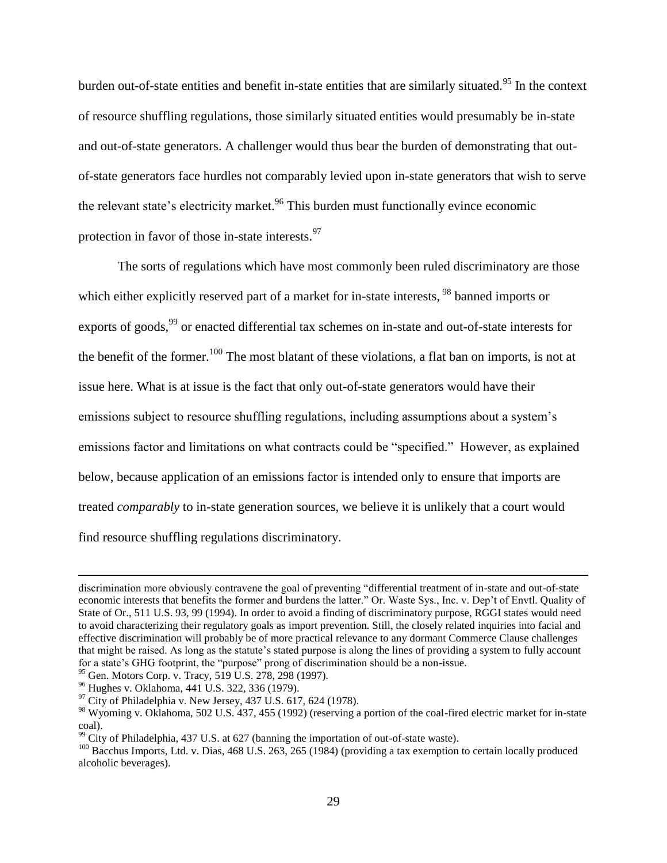burden out-of-state entities and benefit in-state entities that are similarly situated.<sup>95</sup> In the context of resource shuffling regulations, those similarly situated entities would presumably be in-state and out-of-state generators. A challenger would thus bear the burden of demonstrating that outof-state generators face hurdles not comparably levied upon in-state generators that wish to serve the relevant state's electricity market.<sup>96</sup> This burden must functionally evince economic protection in favor of those in-state interests.<sup>97</sup>

The sorts of regulations which have most commonly been ruled discriminatory are those which either explicitly reserved part of a market for in-state interests, <sup>98</sup> banned imports or exports of goods,<sup>99</sup> or enacted differential tax schemes on in-state and out-of-state interests for the benefit of the former.<sup>100</sup> The most blatant of these violations, a flat ban on imports, is not at issue here. What is at issue is the fact that only out-of-state generators would have their emissions subject to resource shuffling regulations, including assumptions about a system's emissions factor and limitations on what contracts could be "specified." However, as explained below, because application of an emissions factor is intended only to ensure that imports are treated *comparably* to in-state generation sources, we believe it is unlikely that a court would find resource shuffling regulations discriminatory.

 $95$  Gen. Motors Corp. v. Tracy, 519 U.S. 278, 298 (1997).

<sup>96</sup> Hughes v. Oklahoma, 441 U.S. 322, 336 (1979).

discrimination more obviously contravene the goal of preventing "differential treatment of in-state and out-of-state economic interests that benefits the former and burdens the latter." Or. Waste Sys., Inc. v. Dep't of Envtl. Quality of State of Or., 511 U.S. 93, 99 (1994). In order to avoid a finding of discriminatory purpose, RGGI states would need to avoid characterizing their regulatory goals as import prevention. Still, the closely related inquiries into facial and effective discrimination will probably be of more practical relevance to any dormant Commerce Clause challenges that might be raised. As long as the statute's stated purpose is along the lines of providing a system to fully account for a state's GHG footprint, the "purpose" prong of discrimination should be a non-issue.

 $97$  City of Philadelphia v. New Jersey, 437 U.S. 617, 624 (1978).

<sup>&</sup>lt;sup>98</sup> Wyoming v. Oklahoma, 502 U.S. 437, 455 (1992) (reserving a portion of the coal-fired electric market for in-state coal).

 $^{99}$  City of Philadelphia, 437 U.S. at 627 (banning the importation of out-of-state waste).

<sup>&</sup>lt;sup>100</sup> Bacchus Imports, Ltd. v. Dias, 468 U.S. 263, 265 (1984) (providing a tax exemption to certain locally produced alcoholic beverages).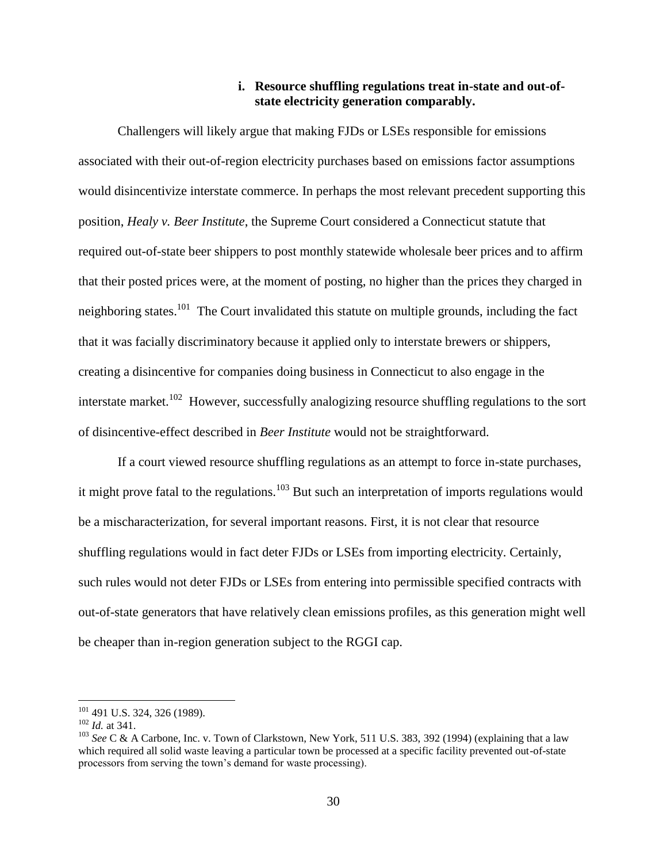#### **i. Resource shuffling regulations treat in-state and out-ofstate electricity generation comparably.**

Challengers will likely argue that making FJDs or LSEs responsible for emissions associated with their out-of-region electricity purchases based on emissions factor assumptions would disincentivize interstate commerce. In perhaps the most relevant precedent supporting this position, *Healy v. Beer Institute*, the Supreme Court considered a Connecticut statute that required out-of-state beer shippers to post monthly statewide wholesale beer prices and to affirm that their posted prices were, at the moment of posting, no higher than the prices they charged in neighboring states.<sup>101</sup> The Court invalidated this statute on multiple grounds, including the fact that it was facially discriminatory because it applied only to interstate brewers or shippers, creating a disincentive for companies doing business in Connecticut to also engage in the interstate market.<sup>102</sup> However, successfully analogizing resource shuffling regulations to the sort of disincentive-effect described in *Beer Institute* would not be straightforward.

If a court viewed resource shuffling regulations as an attempt to force in-state purchases, it might prove fatal to the regulations.<sup>103</sup> But such an interpretation of imports regulations would be a mischaracterization, for several important reasons. First, it is not clear that resource shuffling regulations would in fact deter FJDs or LSEs from importing electricity. Certainly, such rules would not deter FJDs or LSEs from entering into permissible specified contracts with out-of-state generators that have relatively clean emissions profiles, as this generation might well be cheaper than in-region generation subject to the RGGI cap.

<sup>101</sup> 491 U.S. 324, 326 (1989).

<sup>102</sup> *Id.* at 341.

<sup>&</sup>lt;sup>103</sup> See C & A Carbone, Inc. v. Town of Clarkstown, New York, 511 U.S. 383, 392 (1994) (explaining that a law which required all solid waste leaving a particular town be processed at a specific facility prevented out-of-state processors from serving the town's demand for waste processing).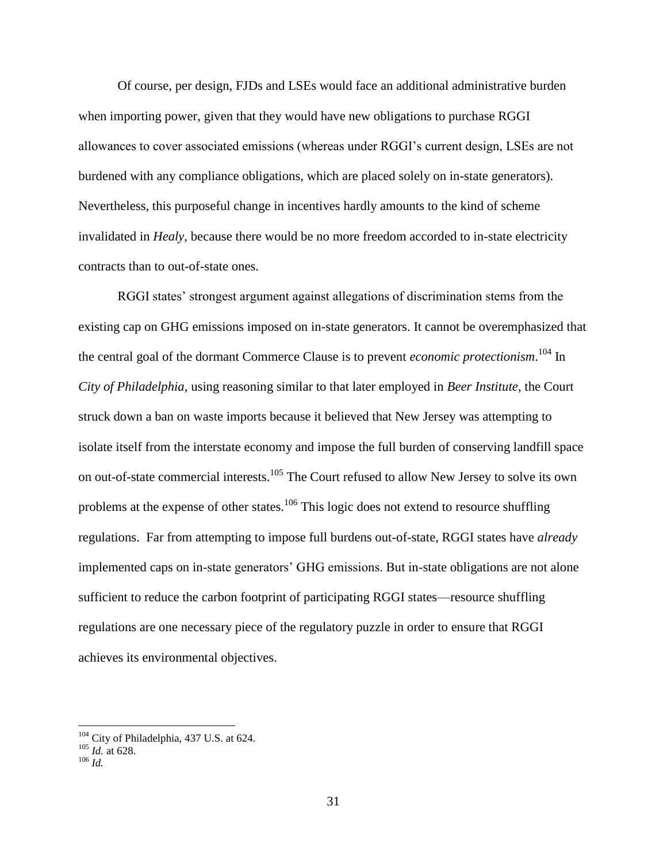Of course, per design, FJDs and LSEs would face an additional administrative burden when importing power, given that they would have new obligations to purchase RGGI allowances to cover associated emissions (whereas under RGGI's current design, LSEs are not burdened with any compliance obligations, which are placed solely on in-state generators). Nevertheless, this purposeful change in incentives hardly amounts to the kind of scheme invalidated in *Healy*, because there would be no more freedom accorded to in-state electricity contracts than to out-of-state ones.

RGGI states' strongest argument against allegations of discrimination stems from the existing cap on GHG emissions imposed on in-state generators. It cannot be overemphasized that the central goal of the dormant Commerce Clause is to prevent *economic protectionism*. <sup>104</sup> In *City of Philadelphia*, using reasoning similar to that later employed in *Beer Institute*, the Court struck down a ban on waste imports because it believed that New Jersey was attempting to isolate itself from the interstate economy and impose the full burden of conserving landfill space on out-of-state commercial interests.<sup>105</sup> The Court refused to allow New Jersey to solve its own problems at the expense of other states.<sup>106</sup> This logic does not extend to resource shuffling regulations. Far from attempting to impose full burdens out-of-state, RGGI states have *already* implemented caps on in-state generators' GHG emissions. But in-state obligations are not alone sufficient to reduce the carbon footprint of participating RGGI states—resource shuffling regulations are one necessary piece of the regulatory puzzle in order to ensure that RGGI achieves its environmental objectives.

 $104$  City of Philadelphia, 437 U.S. at 624.

<sup>105</sup> *Id.* at 628.

<sup>106</sup> *Id.*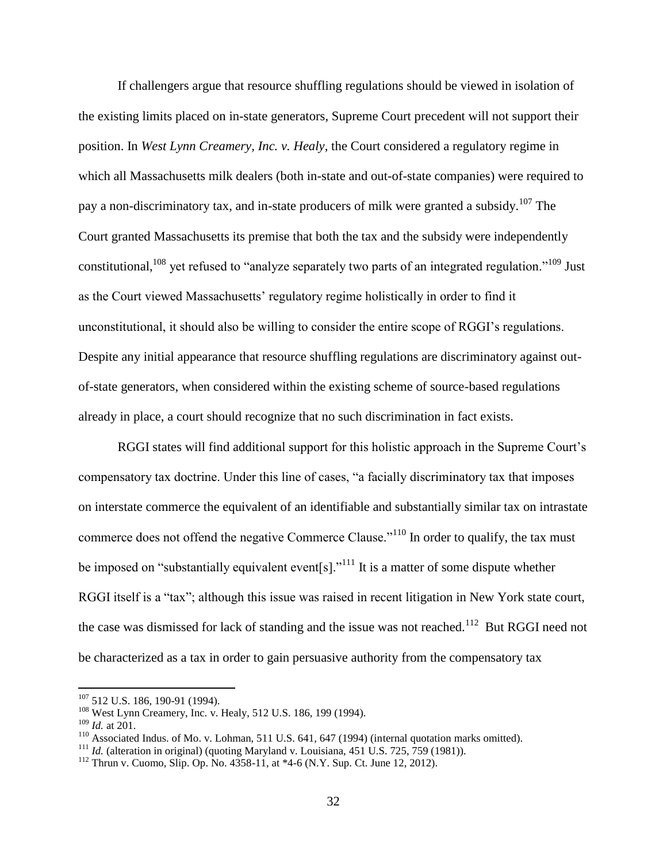If challengers argue that resource shuffling regulations should be viewed in isolation of the existing limits placed on in-state generators, Supreme Court precedent will not support their position. In *West Lynn Creamery, Inc. v. Healy*, the Court considered a regulatory regime in which all Massachusetts milk dealers (both in-state and out-of-state companies) were required to pay a non-discriminatory tax, and in-state producers of milk were granted a subsidy.<sup>107</sup> The Court granted Massachusetts its premise that both the tax and the subsidy were independently constitutional,<sup>108</sup> yet refused to "analyze separately two parts of an integrated regulation."<sup>109</sup> Just as the Court viewed Massachusetts' regulatory regime holistically in order to find it unconstitutional, it should also be willing to consider the entire scope of RGGI's regulations. Despite any initial appearance that resource shuffling regulations are discriminatory against outof-state generators, when considered within the existing scheme of source-based regulations already in place, a court should recognize that no such discrimination in fact exists.

RGGI states will find additional support for this holistic approach in the Supreme Court's compensatory tax doctrine. Under this line of cases, "a facially discriminatory tax that imposes on interstate commerce the equivalent of an identifiable and substantially similar tax on intrastate commerce does not offend the negative Commerce Clause."<sup>110</sup> In order to qualify, the tax must be imposed on "substantially equivalent event[s]."<sup>111</sup> It is a matter of some dispute whether RGGI itself is a "tax"; although this issue was raised in recent litigation in New York state court, the case was dismissed for lack of standing and the issue was not reached.<sup>112</sup> But RGGI need not be characterized as a tax in order to gain persuasive authority from the compensatory tax

 $107$  512 U.S. 186, 190-91 (1994).

<sup>&</sup>lt;sup>108</sup> West Lynn Creamery, Inc. v. Healy, 512 U.S. 186, 199 (1994).

<sup>109</sup> *Id.* at 201.

<sup>&</sup>lt;sup>110</sup> Associated Indus. of Mo. v. Lohman, 511 U.S. 641, 647 (1994) (internal quotation marks omitted).

<sup>&</sup>lt;sup>111</sup> *Id.* (alteration in original) (quoting Maryland v. Louisiana,  $451 \text{ U.S. } 725$ ,  $759 \text{ (1981)}$ ).

<sup>112</sup> Thrun v. Cuomo, Slip. Op. No. 4358-11, at \*4-6 (N.Y. Sup. Ct. June 12, 2012).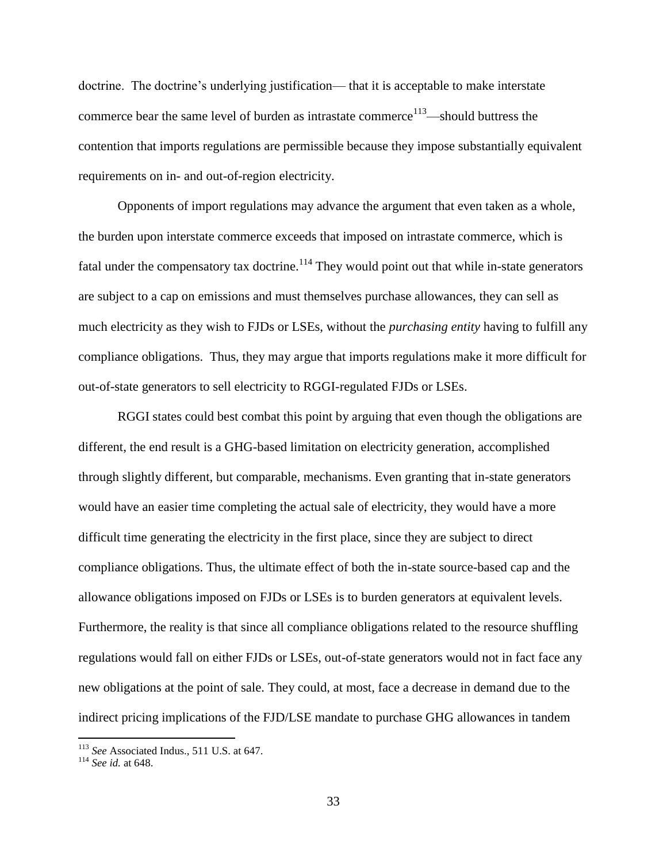doctrine. The doctrine's underlying justification— that it is acceptable to make interstate commerce bear the same level of burden as intrastate commerce<sup>113</sup>—should buttress the contention that imports regulations are permissible because they impose substantially equivalent requirements on in- and out-of-region electricity.

Opponents of import regulations may advance the argument that even taken as a whole, the burden upon interstate commerce exceeds that imposed on intrastate commerce, which is fatal under the compensatory tax doctrine.<sup>114</sup> They would point out that while in-state generators are subject to a cap on emissions and must themselves purchase allowances, they can sell as much electricity as they wish to FJDs or LSEs, without the *purchasing entity* having to fulfill any compliance obligations. Thus, they may argue that imports regulations make it more difficult for out-of-state generators to sell electricity to RGGI-regulated FJDs or LSEs.

RGGI states could best combat this point by arguing that even though the obligations are different, the end result is a GHG-based limitation on electricity generation, accomplished through slightly different, but comparable, mechanisms. Even granting that in-state generators would have an easier time completing the actual sale of electricity, they would have a more difficult time generating the electricity in the first place, since they are subject to direct compliance obligations. Thus, the ultimate effect of both the in-state source-based cap and the allowance obligations imposed on FJDs or LSEs is to burden generators at equivalent levels. Furthermore, the reality is that since all compliance obligations related to the resource shuffling regulations would fall on either FJDs or LSEs, out-of-state generators would not in fact face any new obligations at the point of sale. They could, at most, face a decrease in demand due to the indirect pricing implications of the FJD/LSE mandate to purchase GHG allowances in tandem

<sup>113</sup> *See* Associated Indus., 511 U.S. at 647.

<sup>114</sup> *See id.* at 648.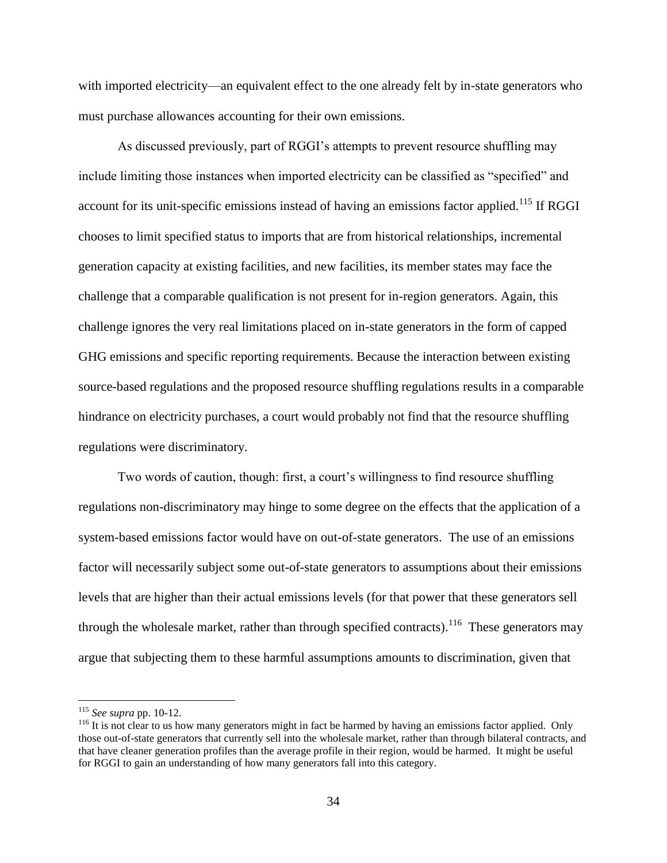with imported electricity—an equivalent effect to the one already felt by in-state generators who must purchase allowances accounting for their own emissions.

As discussed previously, part of RGGI's attempts to prevent resource shuffling may include limiting those instances when imported electricity can be classified as "specified" and account for its unit-specific emissions instead of having an emissions factor applied.<sup>115</sup> If RGGI chooses to limit specified status to imports that are from historical relationships, incremental generation capacity at existing facilities, and new facilities, its member states may face the challenge that a comparable qualification is not present for in-region generators. Again, this challenge ignores the very real limitations placed on in-state generators in the form of capped GHG emissions and specific reporting requirements. Because the interaction between existing source-based regulations and the proposed resource shuffling regulations results in a comparable hindrance on electricity purchases, a court would probably not find that the resource shuffling regulations were discriminatory.

Two words of caution, though: first, a court's willingness to find resource shuffling regulations non-discriminatory may hinge to some degree on the effects that the application of a system-based emissions factor would have on out-of-state generators. The use of an emissions factor will necessarily subject some out-of-state generators to assumptions about their emissions levels that are higher than their actual emissions levels (for that power that these generators sell through the wholesale market, rather than through specified contracts).<sup>116</sup> These generators may argue that subjecting them to these harmful assumptions amounts to discrimination, given that

<sup>115</sup> *See supra* pp. 10-12.

<sup>&</sup>lt;sup>116</sup> It is not clear to us how many generators might in fact be harmed by having an emissions factor applied. Only those out-of-state generators that currently sell into the wholesale market, rather than through bilateral contracts, and that have cleaner generation profiles than the average profile in their region, would be harmed. It might be useful for RGGI to gain an understanding of how many generators fall into this category.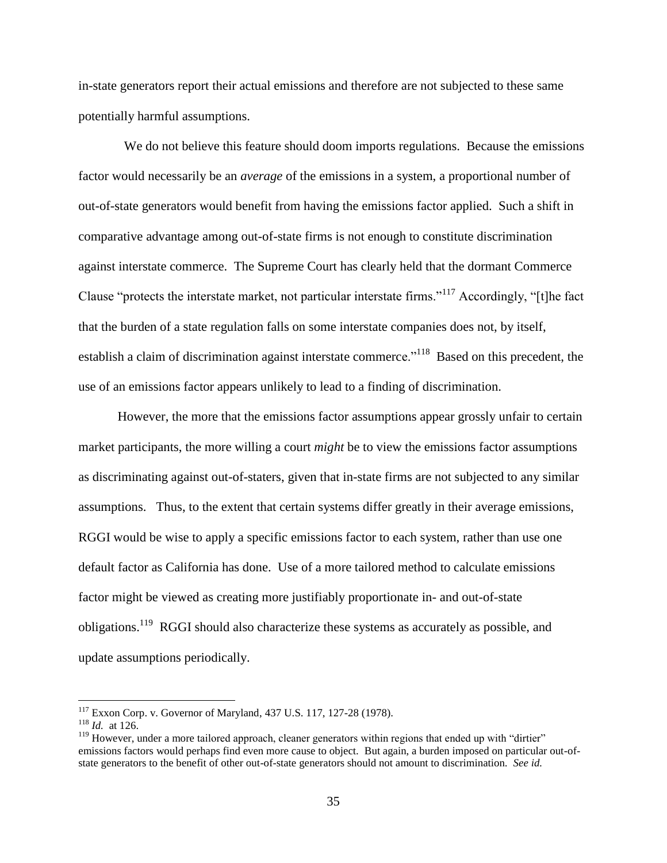in-state generators report their actual emissions and therefore are not subjected to these same potentially harmful assumptions.

 We do not believe this feature should doom imports regulations. Because the emissions factor would necessarily be an *average* of the emissions in a system, a proportional number of out-of-state generators would benefit from having the emissions factor applied. Such a shift in comparative advantage among out-of-state firms is not enough to constitute discrimination against interstate commerce. The Supreme Court has clearly held that the dormant Commerce Clause "protects the interstate market, not particular interstate firms."<sup>117</sup> Accordingly, "[t]he fact that the burden of a state regulation falls on some interstate companies does not, by itself, establish a claim of discrimination against interstate commerce."<sup>118</sup> Based on this precedent, the use of an emissions factor appears unlikely to lead to a finding of discrimination.

However, the more that the emissions factor assumptions appear grossly unfair to certain market participants, the more willing a court *might* be to view the emissions factor assumptions as discriminating against out-of-staters, given that in-state firms are not subjected to any similar assumptions. Thus, to the extent that certain systems differ greatly in their average emissions, RGGI would be wise to apply a specific emissions factor to each system, rather than use one default factor as California has done. Use of a more tailored method to calculate emissions factor might be viewed as creating more justifiably proportionate in- and out-of-state obligations.<sup>119</sup> RGGI should also characterize these systems as accurately as possible, and update assumptions periodically.

<sup>117</sup> Exxon Corp. v. Governor of Maryland, 437 U.S. 117, 127-28 (1978).

<sup>118</sup> *Id.* at 126.

<sup>&</sup>lt;sup>119</sup> However, under a more tailored approach, cleaner generators within regions that ended up with "dirtier" emissions factors would perhaps find even more cause to object. But again, a burden imposed on particular out-ofstate generators to the benefit of other out-of-state generators should not amount to discrimination. *See id.*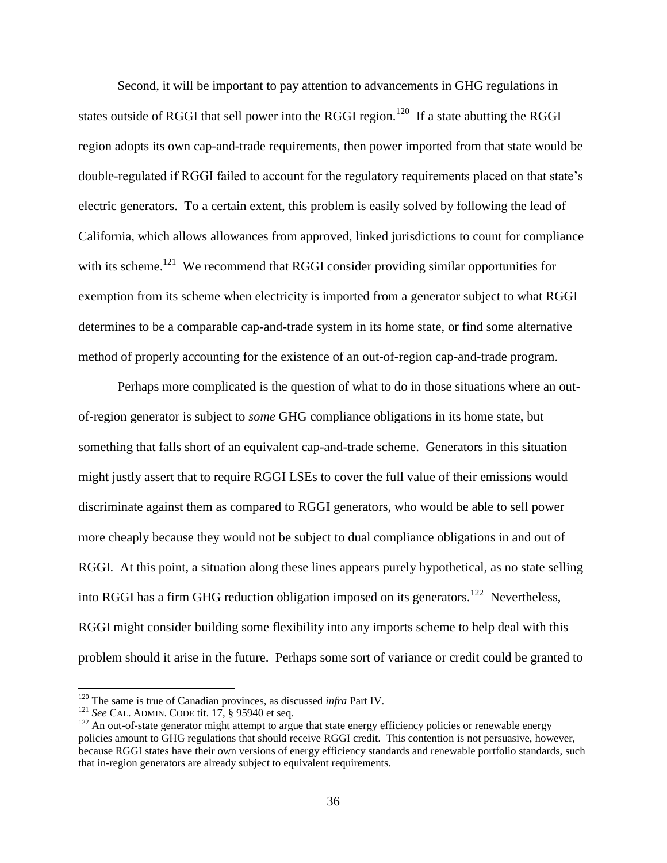Second, it will be important to pay attention to advancements in GHG regulations in states outside of RGGI that sell power into the RGGI region.<sup>120</sup> If a state abutting the RGGI region adopts its own cap-and-trade requirements, then power imported from that state would be double-regulated if RGGI failed to account for the regulatory requirements placed on that state's electric generators. To a certain extent, this problem is easily solved by following the lead of California, which allows allowances from approved, linked jurisdictions to count for compliance with its scheme.<sup>121</sup> We recommend that RGGI consider providing similar opportunities for exemption from its scheme when electricity is imported from a generator subject to what RGGI determines to be a comparable cap-and-trade system in its home state, or find some alternative method of properly accounting for the existence of an out-of-region cap-and-trade program.

Perhaps more complicated is the question of what to do in those situations where an outof-region generator is subject to *some* GHG compliance obligations in its home state, but something that falls short of an equivalent cap-and-trade scheme. Generators in this situation might justly assert that to require RGGI LSEs to cover the full value of their emissions would discriminate against them as compared to RGGI generators, who would be able to sell power more cheaply because they would not be subject to dual compliance obligations in and out of RGGI. At this point, a situation along these lines appears purely hypothetical, as no state selling into RGGI has a firm GHG reduction obligation imposed on its generators.<sup>122</sup> Nevertheless, RGGI might consider building some flexibility into any imports scheme to help deal with this problem should it arise in the future. Perhaps some sort of variance or credit could be granted to

<sup>&</sup>lt;sup>120</sup> The same is true of Canadian provinces, as discussed *infra* Part IV.

<sup>121</sup> *See* CAL. ADMIN. CODE tit. 17, § 95940 et seq.

<sup>&</sup>lt;sup>122</sup> An out-of-state generator might attempt to argue that state energy efficiency policies or renewable energy policies amount to GHG regulations that should receive RGGI credit. This contention is not persuasive, however, because RGGI states have their own versions of energy efficiency standards and renewable portfolio standards, such that in-region generators are already subject to equivalent requirements.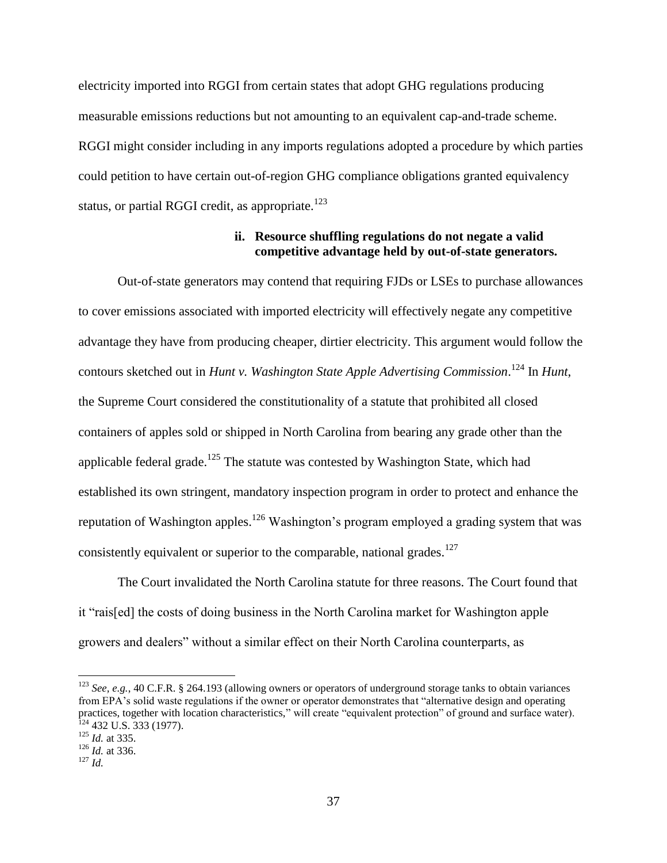electricity imported into RGGI from certain states that adopt GHG regulations producing measurable emissions reductions but not amounting to an equivalent cap-and-trade scheme. RGGI might consider including in any imports regulations adopted a procedure by which parties could petition to have certain out-of-region GHG compliance obligations granted equivalency status, or partial RGGI credit, as appropriate.<sup>123</sup>

#### **ii. Resource shuffling regulations do not negate a valid competitive advantage held by out-of-state generators.**

Out-of-state generators may contend that requiring FJDs or LSEs to purchase allowances to cover emissions associated with imported electricity will effectively negate any competitive advantage they have from producing cheaper, dirtier electricity. This argument would follow the contours sketched out in *Hunt v. Washington State Apple Advertising Commission*. <sup>124</sup> In *Hunt*, the Supreme Court considered the constitutionality of a statute that prohibited all closed containers of apples sold or shipped in North Carolina from bearing any grade other than the applicable federal grade.<sup>125</sup> The statute was contested by Washington State, which had established its own stringent, mandatory inspection program in order to protect and enhance the reputation of Washington apples.<sup>126</sup> Washington's program employed a grading system that was consistently equivalent or superior to the comparable, national grades.<sup>127</sup>

The Court invalidated the North Carolina statute for three reasons. The Court found that it "rais[ed] the costs of doing business in the North Carolina market for Washington apple growers and dealers" without a similar effect on their North Carolina counterparts, as

<sup>123</sup> *See, e.g.*, 40 C.F.R. § 264.193 (allowing owners or operators of underground storage tanks to obtain variances from EPA's solid waste regulations if the owner or operator demonstrates that "alternative design and operating practices, together with location characteristics," will create "equivalent protection" of ground and surface water).  $124$  432 U.S. 333 (1977).

<sup>125</sup> *Id.* at 335.

<sup>126</sup> *Id.* at 336.

<sup>127</sup> *Id.*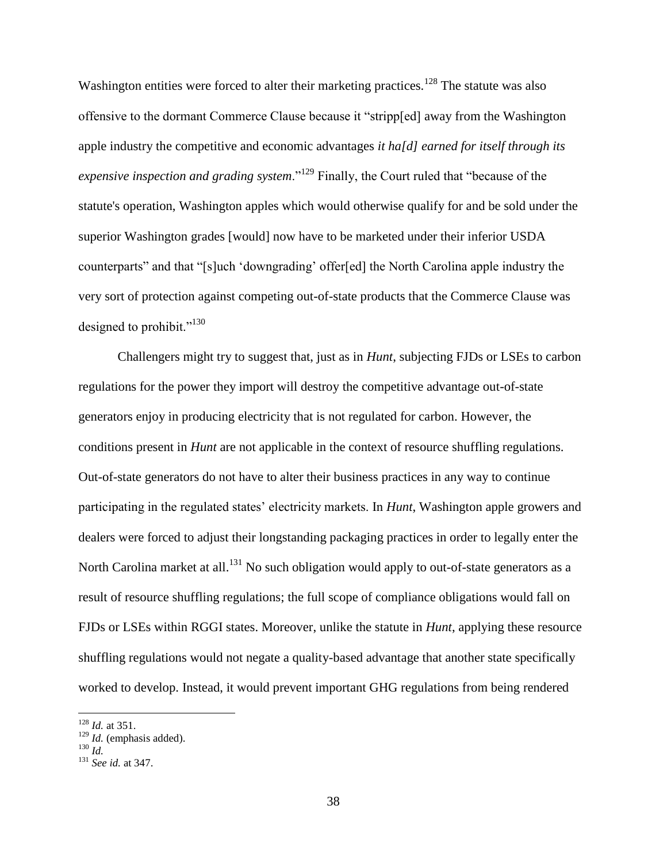Washington entities were forced to alter their marketing practices.<sup>128</sup> The statute was also offensive to the dormant Commerce Clause because it "stripp[ed] away from the Washington apple industry the competitive and economic advantages *it ha[d] earned for itself through its expensive inspection and grading system*."<sup>129</sup> Finally, the Court ruled that "because of the statute's operation, Washington apples which would otherwise qualify for and be sold under the superior Washington grades [would] now have to be marketed under their inferior USDA counterparts" and that "[s]uch 'downgrading' offer[ed] the North Carolina apple industry the very sort of protection against competing out-of-state products that the Commerce Clause was designed to prohibit." $130$ 

Challengers might try to suggest that, just as in *Hunt*, subjecting FJDs or LSEs to carbon regulations for the power they import will destroy the competitive advantage out-of-state generators enjoy in producing electricity that is not regulated for carbon. However, the conditions present in *Hunt* are not applicable in the context of resource shuffling regulations. Out-of-state generators do not have to alter their business practices in any way to continue participating in the regulated states' electricity markets. In *Hunt*, Washington apple growers and dealers were forced to adjust their longstanding packaging practices in order to legally enter the North Carolina market at all.<sup>131</sup> No such obligation would apply to out-of-state generators as a result of resource shuffling regulations; the full scope of compliance obligations would fall on FJDs or LSEs within RGGI states. Moreover, unlike the statute in *Hunt*, applying these resource shuffling regulations would not negate a quality-based advantage that another state specifically worked to develop. Instead, it would prevent important GHG regulations from being rendered

<sup>128</sup> *Id.* at 351.

<sup>129</sup> *Id.* (emphasis added).

<sup>130</sup> *Id.*

<sup>131</sup> *See id.* at 347.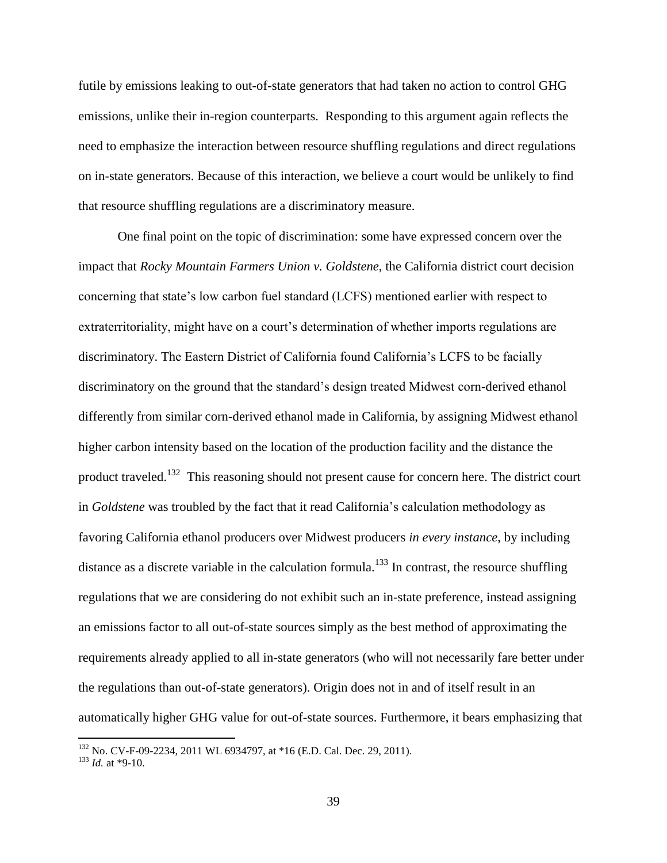futile by emissions leaking to out-of-state generators that had taken no action to control GHG emissions, unlike their in-region counterparts. Responding to this argument again reflects the need to emphasize the interaction between resource shuffling regulations and direct regulations on in-state generators. Because of this interaction, we believe a court would be unlikely to find that resource shuffling regulations are a discriminatory measure.

One final point on the topic of discrimination: some have expressed concern over the impact that *Rocky Mountain Farmers Union v. Goldstene*, the California district court decision concerning that state's low carbon fuel standard (LCFS) mentioned earlier with respect to extraterritoriality, might have on a court's determination of whether imports regulations are discriminatory. The Eastern District of California found California's LCFS to be facially discriminatory on the ground that the standard's design treated Midwest corn-derived ethanol differently from similar corn-derived ethanol made in California, by assigning Midwest ethanol higher carbon intensity based on the location of the production facility and the distance the product traveled.<sup>132</sup> This reasoning should not present cause for concern here. The district court in *Goldstene* was troubled by the fact that it read California's calculation methodology as favoring California ethanol producers over Midwest producers *in every instance*, by including distance as a discrete variable in the calculation formula.<sup>133</sup> In contrast, the resource shuffling regulations that we are considering do not exhibit such an in-state preference, instead assigning an emissions factor to all out-of-state sources simply as the best method of approximating the requirements already applied to all in-state generators (who will not necessarily fare better under the regulations than out-of-state generators). Origin does not in and of itself result in an automatically higher GHG value for out-of-state sources. Furthermore, it bears emphasizing that

<sup>&</sup>lt;sup>132</sup> No. CV-F-09-2234, 2011 WL 6934797, at \*16 (E.D. Cal. Dec. 29, 2011).

<sup>133</sup> *Id.* at \*9-10.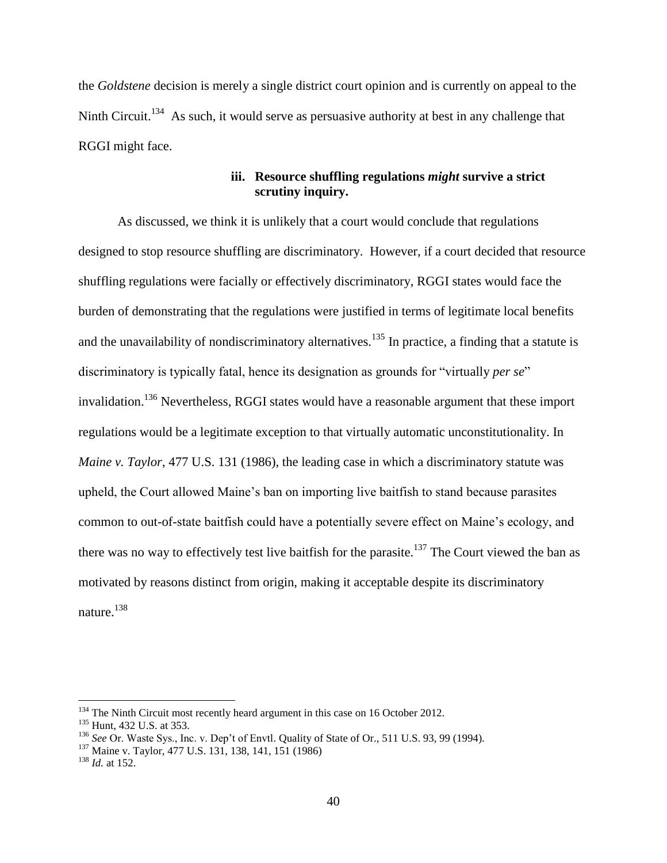the *Goldstene* decision is merely a single district court opinion and is currently on appeal to the Ninth Circuit.<sup>134</sup> As such, it would serve as persuasive authority at best in any challenge that RGGI might face.

### **iii. Resource shuffling regulations** *might* **survive a strict scrutiny inquiry.**

As discussed, we think it is unlikely that a court would conclude that regulations designed to stop resource shuffling are discriminatory. However, if a court decided that resource shuffling regulations were facially or effectively discriminatory, RGGI states would face the burden of demonstrating that the regulations were justified in terms of legitimate local benefits and the unavailability of nondiscriminatory alternatives.<sup>135</sup> In practice, a finding that a statute is discriminatory is typically fatal, hence its designation as grounds for "virtually *per se*" invalidation.<sup>136</sup> Nevertheless, RGGI states would have a reasonable argument that these import regulations would be a legitimate exception to that virtually automatic unconstitutionality. In *Maine v. Taylor*, 477 U.S. 131 (1986), the leading case in which a discriminatory statute was upheld, the Court allowed Maine's ban on importing live baitfish to stand because parasites common to out-of-state baitfish could have a potentially severe effect on Maine's ecology, and there was no way to effectively test live bait ish for the parasite.<sup>137</sup> The Court viewed the ban as motivated by reasons distinct from origin, making it acceptable despite its discriminatory nature.<sup>138</sup>

<sup>&</sup>lt;sup>134</sup> The Ninth Circuit most recently heard argument in this case on 16 October 2012.

<sup>&</sup>lt;sup>135</sup> Hunt, 432 U.S. at 353.

<sup>136</sup> *See* Or. Waste Sys., Inc. v. Dep't of Envtl. Quality of State of Or., 511 U.S. 93, 99 (1994).

<sup>137</sup> Maine v. Taylor, 477 U.S. 131, 138, 141, 151 (1986)

<sup>138</sup> *Id.* at 152.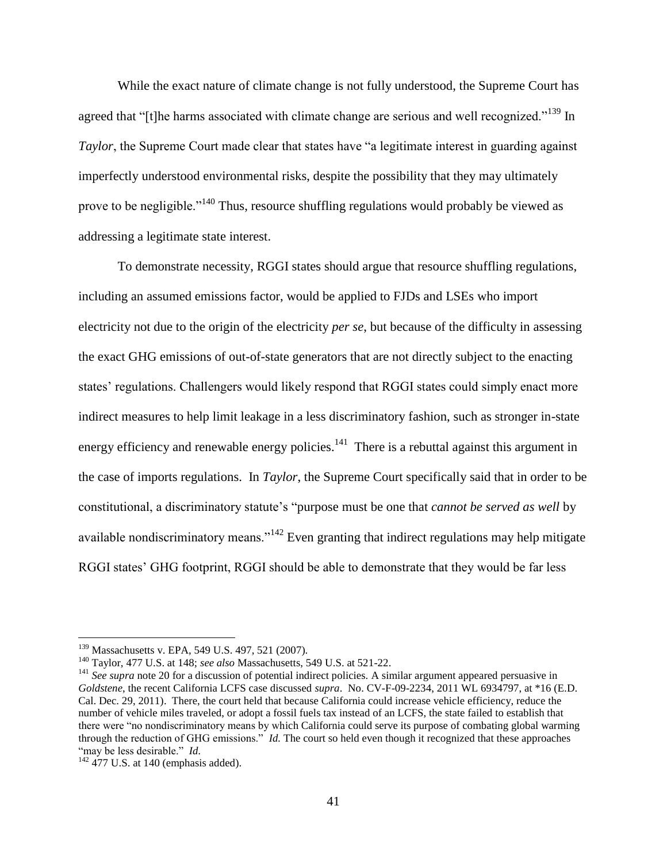While the exact nature of climate change is not fully understood, the Supreme Court has agreed that "[t]he harms associated with climate change are serious and well recognized."<sup>139</sup> In *Taylor*, the Supreme Court made clear that states have "a legitimate interest in guarding against imperfectly understood environmental risks, despite the possibility that they may ultimately prove to be negligible."<sup>140</sup> Thus, resource shuffling regulations would probably be viewed as addressing a legitimate state interest.

To demonstrate necessity, RGGI states should argue that resource shuffling regulations, including an assumed emissions factor, would be applied to FJDs and LSEs who import electricity not due to the origin of the electricity *per se*, but because of the difficulty in assessing the exact GHG emissions of out-of-state generators that are not directly subject to the enacting states' regulations. Challengers would likely respond that RGGI states could simply enact more indirect measures to help limit leakage in a less discriminatory fashion, such as stronger in-state energy efficiency and renewable energy policies. $141$  There is a rebuttal against this argument in the case of imports regulations. In *Taylor*, the Supreme Court specifically said that in order to be constitutional, a discriminatory statute's "purpose must be one that *cannot be served as well* by available nondiscriminatory means."<sup>142</sup> Even granting that indirect regulations may help mitigate RGGI states' GHG footprint, RGGI should be able to demonstrate that they would be far less

<sup>&</sup>lt;sup>139</sup> Massachusetts v. EPA, 549 U.S. 497, 521 (2007).

<sup>140</sup> Taylor, 477 U.S. at 148; *see also* Massachusetts, 549 U.S. at 521-22.

<sup>&</sup>lt;sup>141</sup> See supra not[e 20](#page-9-0) for a discussion of potential indirect policies. A similar argument appeared persuasive in *Goldstene*, the recent California LCFS case discussed *supra*. No. CV-F-09-2234, 2011 WL 6934797, at \*16 (E.D. Cal. Dec. 29, 2011). There, the court held that because California could increase vehicle efficiency, reduce the number of vehicle miles traveled, or adopt a fossil fuels tax instead of an LCFS, the state failed to establish that there were "no nondiscriminatory means by which California could serve its purpose of combating global warming through the reduction of GHG emissions." *Id.* The court so held even though it recognized that these approaches "may be less desirable." *Id.*

 $142$  477 U.S. at 140 (emphasis added).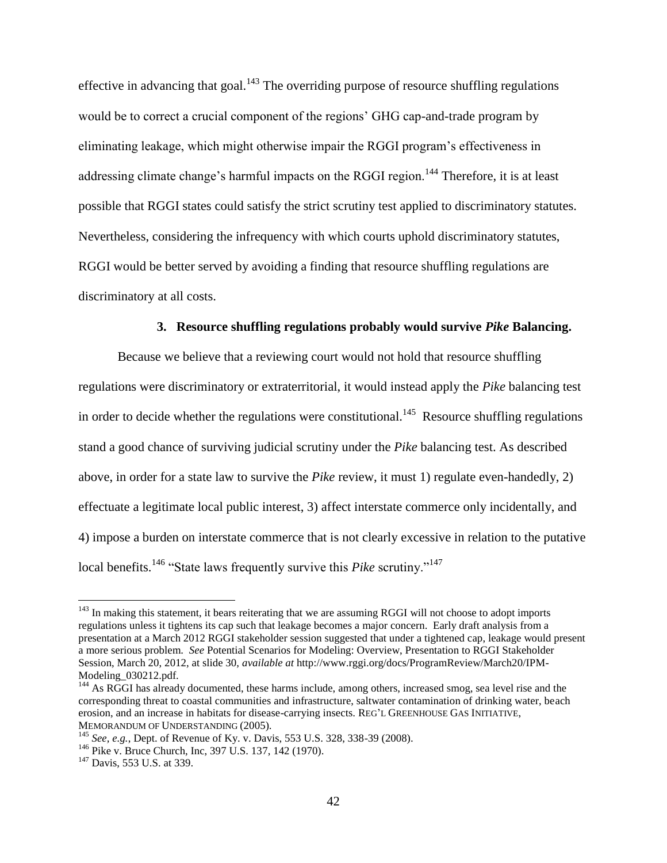<span id="page-42-0"></span>effective in advancing that goal.<sup>143</sup> The overriding purpose of resource shuffling regulations would be to correct a crucial component of the regions' GHG cap-and-trade program by eliminating leakage, which might otherwise impair the RGGI program's effectiveness in addressing climate change's harmful impacts on the RGGI region.<sup>144</sup> Therefore, it is at least possible that RGGI states could satisfy the strict scrutiny test applied to discriminatory statutes. Nevertheless, considering the infrequency with which courts uphold discriminatory statutes, RGGI would be better served by avoiding a finding that resource shuffling regulations are discriminatory at all costs.

#### **3. Resource shuffling regulations probably would survive** *Pike* **Balancing.**

Because we believe that a reviewing court would not hold that resource shuffling regulations were discriminatory or extraterritorial, it would instead apply the *Pike* balancing test in order to decide whether the regulations were constitutional.<sup>145</sup> Resource shuffling regulations stand a good chance of surviving judicial scrutiny under the *Pike* balancing test. As described above, in order for a state law to survive the *Pike* review, it must 1) regulate even-handedly, 2) effectuate a legitimate local public interest, 3) affect interstate commerce only incidentally, and 4) impose a burden on interstate commerce that is not clearly excessive in relation to the putative local benefits.<sup>146</sup> "State laws frequently survive this *[Pike](https://1.next.westlaw.com/Link/Document/FullText?findType=Y&serNum=1970134191&originationContext=document&transitionType=DocumentItem&contextData=%28sc.DocLink%29)* scrutiny."<sup>147</sup>

 $143$  In making this statement, it bears reiterating that we are assuming RGGI will not choose to adopt imports regulations unless it tightens its cap such that leakage becomes a major concern. Early draft analysis from a presentation at a March 2012 RGGI stakeholder session suggested that under a tightened cap, leakage would present a more serious problem. *See* Potential Scenarios for Modeling: Overview, Presentation to RGGI Stakeholder Session, March 20, 2012, at slide 30, *available at* http://www.rggi.org/docs/ProgramReview/March20/IPM-Modeling\_030212.pdf.

<sup>&</sup>lt;sup>144</sup> As RGGI has already documented, these harms include, among others, increased smog, sea level rise and the corresponding threat to coastal communities and infrastructure, saltwater contamination of drinking water, beach erosion, and an increase in habitats for disease-carrying insects. REG'L GREENHOUSE GAS INITIATIVE, MEMORANDUM OF UNDERSTANDING (2005).

<sup>145</sup> *See, e.g.*, Dept. of Revenue of Ky. v. Davis, 553 U.S. 328, 338-39 (2008).

<sup>&</sup>lt;sup>146</sup> Pike v. Bruce Church, Inc, 397 U.S. 137, 142 (1970).

<sup>&</sup>lt;sup>147</sup> Davis, 553 U.S. at 339.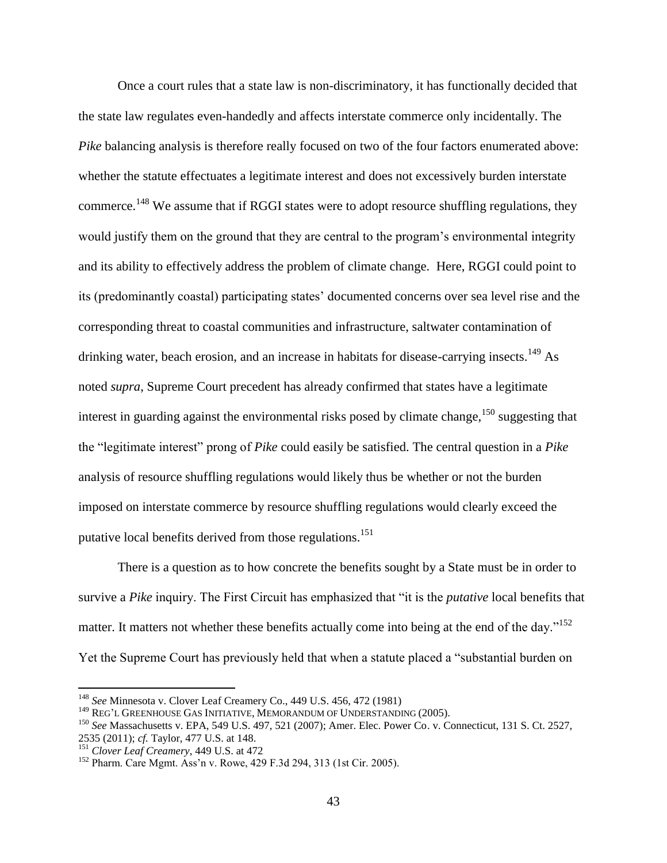Once a court rules that a state law is non-discriminatory, it has functionally decided that the state law regulates even-handedly and affects interstate commerce only incidentally. The *Pike* balancing analysis is therefore really focused on two of the four factors enumerated above: whether the statute effectuates a legitimate interest and does not excessively burden interstate commerce.<sup>148</sup> We assume that if RGGI states were to adopt resource shuffling regulations, they would justify them on the ground that they are central to the program's environmental integrity and its ability to effectively address the problem of climate change. Here, RGGI could point to its (predominantly coastal) participating states' documented concerns over sea level rise and the corresponding threat to coastal communities and infrastructure, saltwater contamination of drinking water, beach erosion, and an increase in habitats for disease-carrying insects.<sup>149</sup> As noted *supra*, Supreme Court precedent has already confirmed that states have a legitimate interest in guarding against the environmental risks posed by climate change,  $150$  suggesting that the "legitimate interest" prong of *Pike* could easily be satisfied. The central question in a *Pike* analysis of resource shuffling regulations would likely thus be whether or not the burden imposed on interstate commerce by resource shuffling regulations would clearly exceed the putative local benefits derived from those regulations.<sup>151</sup>

There is a question as to how concrete the benefits sought by a State must be in order to survive a *Pike* inquiry. The First Circuit has emphasized that "it is the *putative* local benefits that matter. It matters not whether these benefits actually come into being at the end of the day."<sup>152</sup> Yet the Supreme Court has previously held that when a statute placed a "substantial burden on

<sup>148</sup> *See* Minnesota v. Clover Leaf Creamery Co., 449 U.S. 456, 472 (1981)

<sup>&</sup>lt;sup>149</sup> REG'L GREENHOUSE GAS INITIATIVE, MEMORANDUM OF UNDERSTANDING (2005).

<sup>150</sup> *See* Massachusetts v. EPA, 549 U.S. 497, 521 (2007); Amer. Elec. Power Co. v. Connecticut, 131 S. Ct. 2527, 2535 (2011); *cf.* Taylor, 477 U.S. at 148.

<sup>151</sup> *Clover Leaf Creamery*, 449 U.S. at 472

<sup>152</sup> Pharm. Care Mgmt. Ass'n v. Rowe, 429 F.3d 294, 313 (1st Cir. 2005).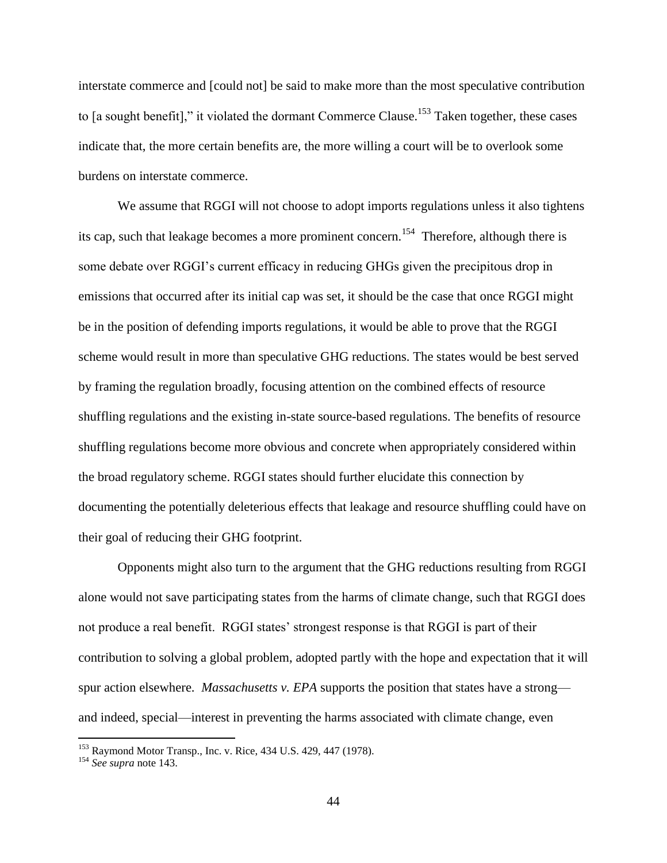interstate commerce and [could not] be said to make more than the most speculative contribution to [a sought benefit]," it violated the dormant Commerce Clause.<sup>153</sup> Taken together, these cases indicate that, the more certain benefits are, the more willing a court will be to overlook some burdens on interstate commerce.

We assume that RGGI will not choose to adopt imports regulations unless it also tightens its cap, such that leakage becomes a more prominent concern.<sup>154</sup> Therefore, although there is some debate over RGGI's current efficacy in reducing GHGs given the precipitous drop in emissions that occurred after its initial cap was set, it should be the case that once RGGI might be in the position of defending imports regulations, it would be able to prove that the RGGI scheme would result in more than speculative GHG reductions. The states would be best served by framing the regulation broadly, focusing attention on the combined effects of resource shuffling regulations and the existing in-state source-based regulations. The benefits of resource shuffling regulations become more obvious and concrete when appropriately considered within the broad regulatory scheme. RGGI states should further elucidate this connection by documenting the potentially deleterious effects that leakage and resource shuffling could have on their goal of reducing their GHG footprint.

Opponents might also turn to the argument that the GHG reductions resulting from RGGI alone would not save participating states from the harms of climate change, such that RGGI does not produce a real benefit. RGGI states' strongest response is that RGGI is part of their contribution to solving a global problem, adopted partly with the hope and expectation that it will spur action elsewhere. *Massachusetts v. EPA* supports the position that states have a strong and indeed, special—interest in preventing the harms associated with climate change, even

<sup>&</sup>lt;sup>153</sup> Raymond Motor Transp., Inc. v. Rice, 434 U.S. 429, 447 (1978).

<sup>154</sup> *See supra* not[e 143.](#page-42-0)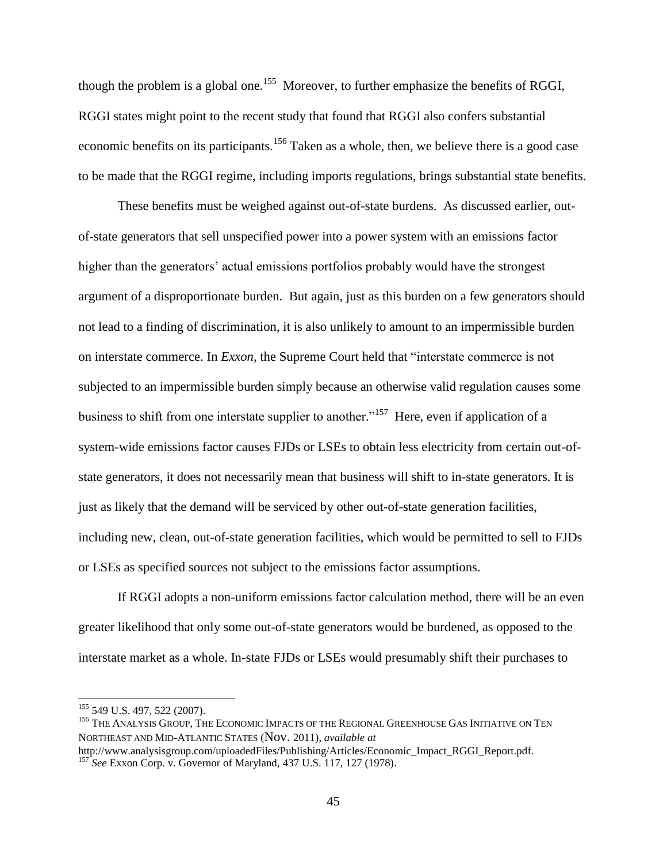though the problem is a global one.<sup>155</sup> Moreover, to further emphasize the benefits of RGGI, RGGI states might point to the recent study that found that RGGI also confers substantial economic benefits on its participants.<sup>156</sup> Taken as a whole, then, we believe there is a good case to be made that the RGGI regime, including imports regulations, brings substantial state benefits.

These benefits must be weighed against out-of-state burdens. As discussed earlier, outof-state generators that sell unspecified power into a power system with an emissions factor higher than the generators' actual emissions portfolios probably would have the strongest argument of a disproportionate burden. But again, just as this burden on a few generators should not lead to a finding of discrimination, it is also unlikely to amount to an impermissible burden on interstate commerce. In *Exxon*, the Supreme Court held that "interstate commerce is not subjected to an impermissible burden simply because an otherwise valid regulation causes some business to shift from one interstate supplier to another."<sup>157</sup> Here, even if application of a system-wide emissions factor causes FJDs or LSEs to obtain less electricity from certain out-ofstate generators, it does not necessarily mean that business will shift to in-state generators. It is just as likely that the demand will be serviced by other out-of-state generation facilities, including new, clean, out-of-state generation facilities, which would be permitted to sell to FJDs or LSEs as specified sources not subject to the emissions factor assumptions.

If RGGI adopts a non-uniform emissions factor calculation method, there will be an even greater likelihood that only some out-of-state generators would be burdened, as opposed to the interstate market as a whole. In-state FJDs or LSEs would presumably shift their purchases to

<sup>&</sup>lt;sup>155</sup> 549 U.S. 497, 522 (2007).

<sup>&</sup>lt;sup>156</sup> THE ANALYSIS GROUP, THE ECONOMIC IMPACTS OF THE REGIONAL GREENHOUSE GAS INITIATIVE ON TEN NORTHEAST AND MID-ATLANTIC STATES (Nov. 2011), *available at* 

http://www.analysisgroup.com/uploadedFiles/Publishing/Articles/Economic\_Impact\_RGGI\_Report.pdf. <sup>157</sup> *See* Exxon Corp. v. Governor of Maryland, 437 U.S. 117, 127 (1978).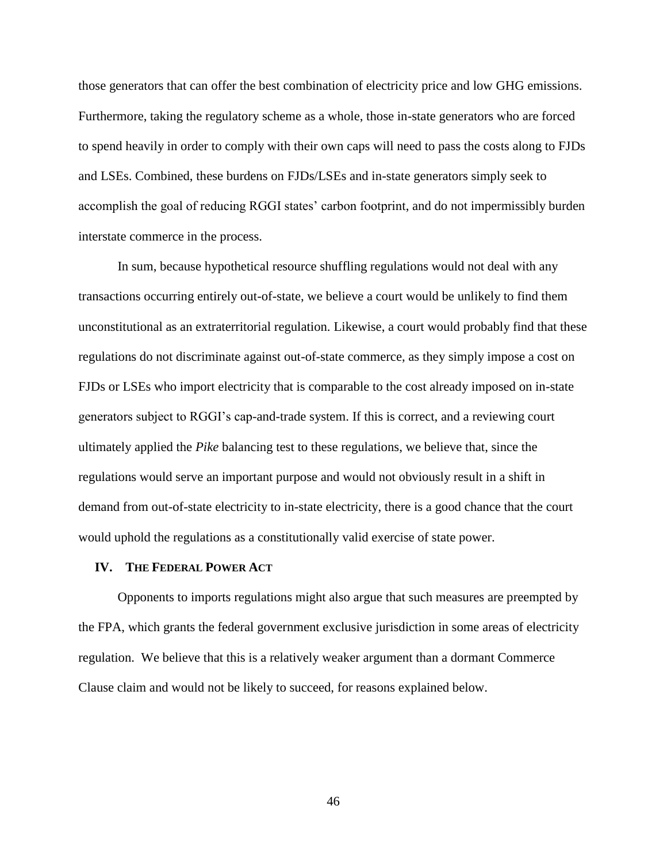those generators that can offer the best combination of electricity price and low GHG emissions. Furthermore, taking the regulatory scheme as a whole, those in-state generators who are forced to spend heavily in order to comply with their own caps will need to pass the costs along to FJDs and LSEs. Combined, these burdens on FJDs/LSEs and in-state generators simply seek to accomplish the goal of reducing RGGI states' carbon footprint, and do not impermissibly burden interstate commerce in the process.

In sum, because hypothetical resource shuffling regulations would not deal with any transactions occurring entirely out-of-state, we believe a court would be unlikely to find them unconstitutional as an extraterritorial regulation. Likewise, a court would probably find that these regulations do not discriminate against out-of-state commerce, as they simply impose a cost on FJDs or LSEs who import electricity that is comparable to the cost already imposed on in-state generators subject to RGGI's cap-and-trade system. If this is correct, and a reviewing court ultimately applied the *Pike* balancing test to these regulations, we believe that, since the regulations would serve an important purpose and would not obviously result in a shift in demand from out-of-state electricity to in-state electricity, there is a good chance that the court would uphold the regulations as a constitutionally valid exercise of state power.

#### **IV. THE FEDERAL POWER ACT**

Opponents to imports regulations might also argue that such measures are preempted by the FPA, which grants the federal government exclusive jurisdiction in some areas of electricity regulation. We believe that this is a relatively weaker argument than a dormant Commerce Clause claim and would not be likely to succeed, for reasons explained below.

46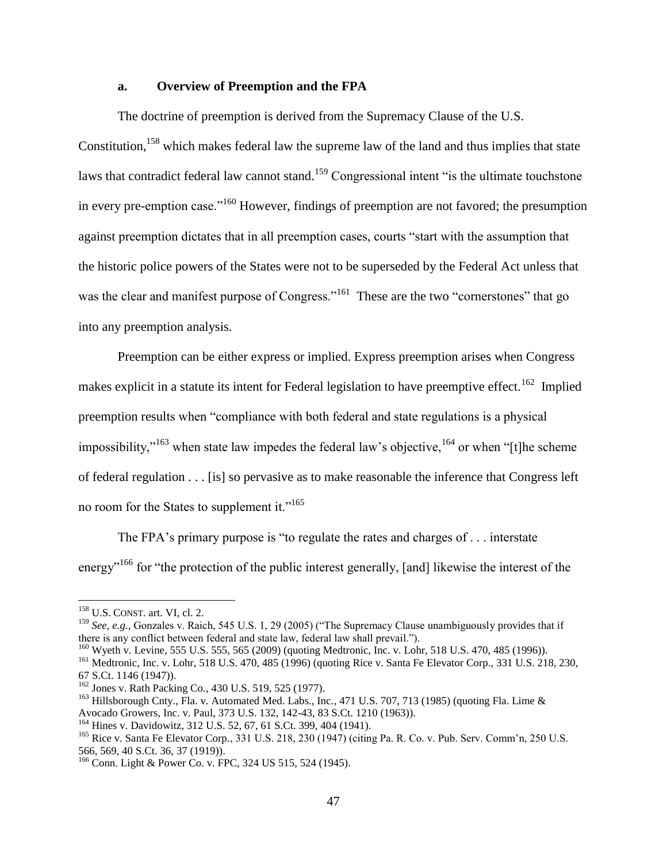#### **a. Overview of Preemption and the FPA**

The doctrine of preemption is derived from the Supremacy Clause of the U.S. Constitution,<sup>158</sup> which makes federal law the supreme law of the land and thus implies that state laws that contradict federal law cannot stand.<sup>159</sup> Congressional intent "is the ultimate touchstone" in every pre-emption case."<sup>160</sup> However, findings of preemption are not favored; the presumption against preemption dictates that in all preemption cases, courts "start with the assumption that the historic police powers of the States were not to be superseded by the Federal Act unless that was the clear and manifest purpose of Congress."<sup>161</sup> These are the two "cornerstones" that go into any preemption analysis.

Preemption can be either express or implied. Express preemption arises when Congress makes explicit in a statute its intent for Federal legislation to have preemptive effect.<sup>162</sup> Implied preemption results when "compliance with both federal and state regulations is a physical impossibility,"<sup>163</sup> when state law impedes the federal law's objective,  $164$  or when "[t]he scheme of federal regulation . . . [is] so pervasive as to make reasonable the inference that Congress left no room for the States to supplement it."<sup>165</sup>

The FPA's primary purpose is "to regulate the rates and charges of . . . interstate energy<sup>"166</sup> for "the protection of the public interest generally, [and] likewise the interest of the

<sup>158</sup> U.S. CONST. art. VI, cl. 2.

<sup>159</sup> *See, e.g*., Gonzales v. Raich, 545 U.S. 1, 29 (2005) ("The Supremacy Clause unambiguously provides that if there is any conflict between federal and state law, federal law shall prevail.").

<sup>&</sup>lt;sup>160</sup> Wyeth v. Levine, 555 U.S. 555, 565 (2009) (quoting Medtronic, Inc. v. Lohr, 518 U.S. 470, 485 (1996)).

<sup>&</sup>lt;sup>161</sup> Medtronic, Inc. v. Lohr, 518 U.S. 470, 485 (1996) (quoting Rice v. Santa Fe Elevator Corp., 331 U.S. 218, 230, 67 S.Ct. 1146 (1947)).

<sup>162</sup> Jones v. Rath Packing Co*.*, 430 U.S. 519, 525 (1977).

<sup>&</sup>lt;sup>163</sup> Hillsborough Cnty., Fla. v. Automated Med. Labs., Inc., 471 U.S. 707, 713 (1985) (quoting Fla. Lime & Avocado Growers, Inc. v. Paul, 373 U.S. 132, 142-43, 83 S.Ct. 1210 (1963)).

<sup>164</sup> Hines v. Davidowitz, 312 U.S. 52, 67, 61 S.Ct. 399, 404 (1941).

<sup>165</sup> Rice v. Santa Fe Elevator Corp*.*, 331 U.S. 218, 230 (1947) (citing Pa. R. Co. v. Pub. Serv. Comm'n, 250 U.S. 566, 569, 40 S.Ct. 36, 37 (1919)).

<sup>166</sup> Conn. Light & Power Co. v. FPC, 324 US 515, 524 (1945).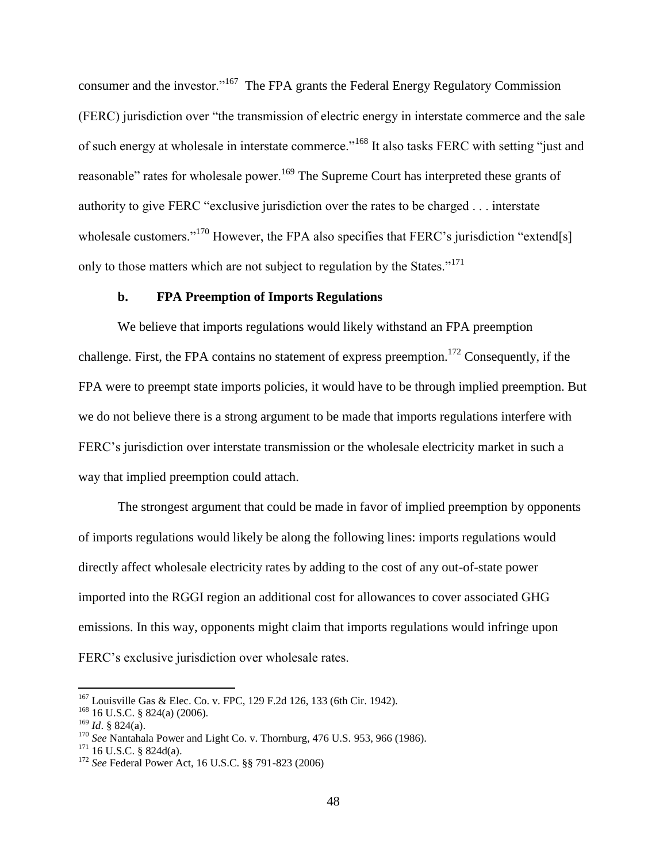consumer and the investor."<sup>167</sup> The FPA grants the Federal Energy Regulatory Commission (FERC) jurisdiction over "the transmission of electric energy in interstate commerce and the sale of such energy at wholesale in interstate commerce."<sup>168</sup> It also tasks FERC with setting "just and reasonable" rates for wholesale power.<sup>169</sup> The Supreme Court has interpreted these grants of authority to give FERC "exclusive jurisdiction over the rates to be charged . . . interstate wholesale customers."<sup>170</sup> However, the FPA also specifies that FERC's jurisdiction "extend[s] only to those matters which are not subject to regulation by the States."<sup>171</sup>

#### **b. FPA Preemption of Imports Regulations**

We believe that imports regulations would likely withstand an FPA preemption challenge. First, the FPA contains no statement of express preemption.<sup>172</sup> Consequently, if the FPA were to preempt state imports policies, it would have to be through implied preemption. But we do not believe there is a strong argument to be made that imports regulations interfere with FERC's jurisdiction over interstate transmission or the wholesale electricity market in such a way that implied preemption could attach.

The strongest argument that could be made in favor of implied preemption by opponents of imports regulations would likely be along the following lines: imports regulations would directly affect wholesale electricity rates by adding to the cost of any out-of-state power imported into the RGGI region an additional cost for allowances to cover associated GHG emissions. In this way, opponents might claim that imports regulations would infringe upon FERC's exclusive jurisdiction over wholesale rates.

 $167$  Louisville Gas & Elec. Co. v. FPC, 129 F.2d 126, 133 (6th Cir. 1942).

<sup>168</sup> 16 U.S.C. § 824(a) (2006).

<sup>169</sup> *Id*. § 824(a).

<sup>170</sup> *See* Nantahala Power and Light Co. v. Thornburg, 476 U.S. 953, 966 (1986).

 $171$  16 U.S.C. § 824d(a).

<sup>172</sup> *See* Federal Power Act, 16 U.S.C. §§ 791-823 (2006)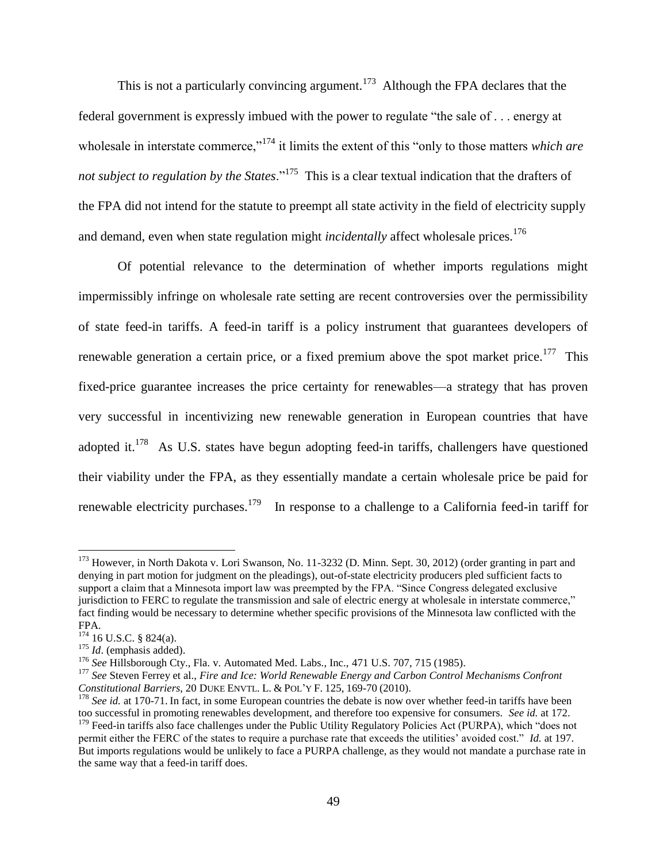This is not a particularly convincing argument.<sup>173</sup> Although the FPA declares that the federal government is expressly imbued with the power to regulate "the sale of . . . energy at wholesale in interstate commerce,"<sup>174</sup> it limits the extent of this "only to those matters *which are not subject to regulation by the States*."<sup>175</sup> This is a clear textual indication that the drafters of the FPA did not intend for the statute to preempt all state activity in the field of electricity supply and demand, even when state regulation might *incidentally* affect wholesale prices.<sup>176</sup>

Of potential relevance to the determination of whether imports regulations might impermissibly infringe on wholesale rate setting are recent controversies over the permissibility of state feed-in tariffs. A feed-in tariff is a policy instrument that guarantees developers of renewable generation a certain price, or a fixed premium above the spot market price.<sup>177</sup> This fixed-price guarantee increases the price certainty for renewables—a strategy that has proven very successful in incentivizing new renewable generation in European countries that have adopted it.<sup>178</sup> As U.S. states have begun adopting feed-in tariffs, challengers have questioned their viability under the FPA, as they essentially mandate a certain wholesale price be paid for renewable electricity purchases.<sup>179</sup> In response to a challenge to a California feed-in tariff for

<sup>&</sup>lt;sup>173</sup> However, in North Dakota v. Lori Swanson, No. 11-3232 (D. Minn. Sept. 30, 2012) (order granting in part and denying in part motion for judgment on the pleadings), out-of-state electricity producers pled sufficient facts to support a claim that a Minnesota import law was preempted by the FPA. "Since Congress delegated exclusive jurisdiction to FERC to regulate the transmission and sale of electric energy at wholesale in interstate commerce," fact finding would be necessary to determine whether specific provisions of the Minnesota law conflicted with the FPA.

 $174$  16 U.S.C. § 824(a).

<sup>&</sup>lt;sup>175</sup> *Id.* (emphasis added).

<sup>176</sup> *See* Hillsborough Cty., Fla. v. Automated Med. Labs., Inc., 471 U.S. 707, 715 (1985).

<sup>177</sup> *See* Steven Ferrey et al., *Fire and Ice: World Renewable Energy and Carbon Control Mechanisms Confront Constitutional Barriers*, 20 DUKE ENVTL. L. & POL'Y F. 125, 169-70 (2010).

<sup>&</sup>lt;sup>178</sup> *See id.* at 170-71. In fact, in some European countries the debate is now over whether feed-in tariffs have been too successful in promoting renewables development, and therefore too expensive for consumers. *See id.* at 172.

<sup>&</sup>lt;sup>179</sup> Feed-in tariffs also face challenges under the Public Utility Regulatory Policies Act (PURPA), which "does not permit either the FERC of the states to require a purchase rate that exceeds the utilities' avoided cost." *Id.* at 197. But imports regulations would be unlikely to face a PURPA challenge, as they would not mandate a purchase rate in the same way that a feed-in tariff does.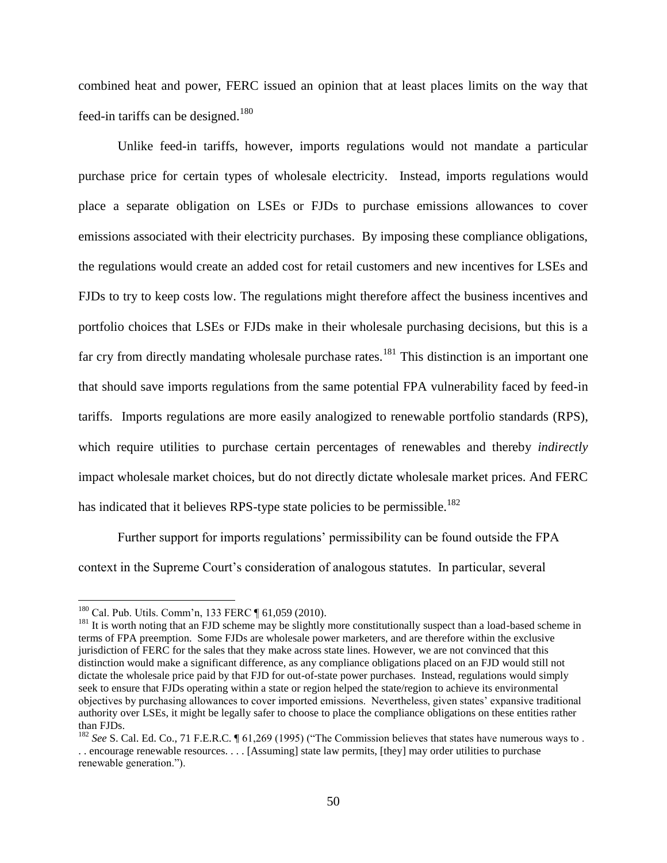combined heat and power, FERC issued an opinion that at least places limits on the way that feed-in tariffs can be designed.<sup>180</sup>

Unlike feed-in tariffs, however, imports regulations would not mandate a particular purchase price for certain types of wholesale electricity. Instead, imports regulations would place a separate obligation on LSEs or FJDs to purchase emissions allowances to cover emissions associated with their electricity purchases. By imposing these compliance obligations, the regulations would create an added cost for retail customers and new incentives for LSEs and FJDs to try to keep costs low. The regulations might therefore affect the business incentives and portfolio choices that LSEs or FJDs make in their wholesale purchasing decisions, but this is a far cry from directly mandating wholesale purchase rates.<sup>181</sup> This distinction is an important one that should save imports regulations from the same potential FPA vulnerability faced by feed-in tariffs. Imports regulations are more easily analogized to renewable portfolio standards (RPS), which require utilities to purchase certain percentages of renewables and thereby *indirectly* impact wholesale market choices, but do not directly dictate wholesale market prices. And FERC has indicated that it believes RPS-type state policies to be permissible.<sup>182</sup>

Further support for imports regulations' permissibility can be found outside the FPA context in the Supreme Court's consideration of analogous statutes. In particular, several

<sup>180</sup> Cal. Pub. Utils. Comm'n, 133 FERC ¶ 61,059 (2010).

<sup>&</sup>lt;sup>181</sup> It is worth noting that an FJD scheme may be slightly more constitutionally suspect than a load-based scheme in terms of FPA preemption. Some FJDs are wholesale power marketers, and are therefore within the exclusive jurisdiction of FERC for the sales that they make across state lines. However, we are not convinced that this distinction would make a significant difference, as any compliance obligations placed on an FJD would still not dictate the wholesale price paid by that FJD for out-of-state power purchases. Instead, regulations would simply seek to ensure that FJDs operating within a state or region helped the state/region to achieve its environmental objectives by purchasing allowances to cover imported emissions. Nevertheless, given states' expansive traditional authority over LSEs, it might be legally safer to choose to place the compliance obligations on these entities rather than FJDs.

<sup>&</sup>lt;sup>182</sup> *See* S. Cal. Ed. Co., 71 F.E.R.C. ¶ 61,269 (1995) ("The Commission believes that states have numerous ways to . . . encourage renewable resources. . . . [Assuming] state law permits, [they] may order utilities to purchase renewable generation.").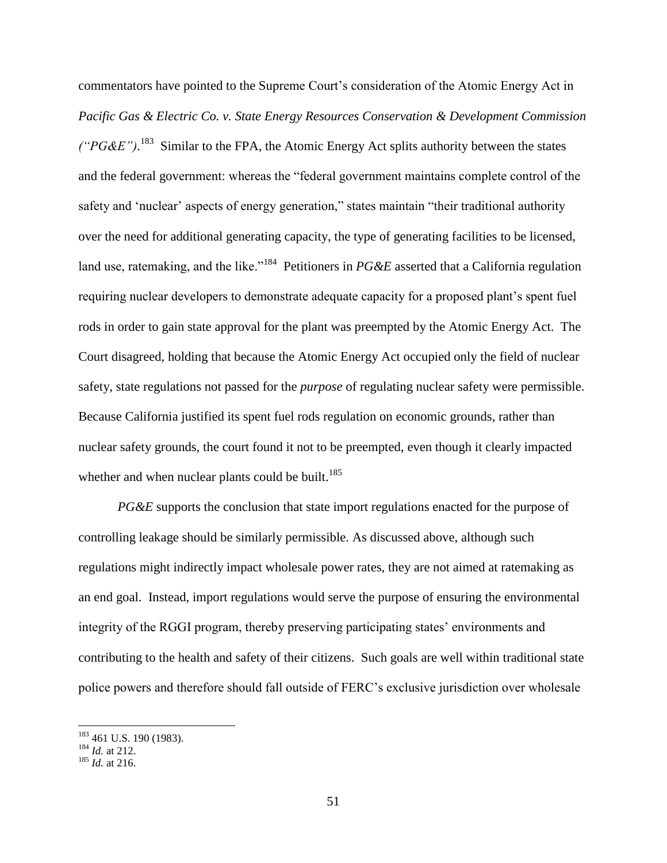commentators have pointed to the Supreme Court's consideration of the Atomic Energy Act in *Pacific Gas & Electric Co. v. State Energy Resources Conservation & Development Commission*   $(^{\prime}P G \& E$ ").<sup>183</sup> Similar to the FPA, the Atomic Energy Act splits authority between the states and the federal government: whereas the "federal government maintains complete control of the safety and 'nuclear' aspects of energy generation," states maintain "their traditional authority over the need for additional generating capacity, the type of generating facilities to be licensed, land use, ratemaking, and the like."<sup>184</sup> Petitioners in *PG&E* asserted that a California regulation requiring nuclear developers to demonstrate adequate capacity for a proposed plant's spent fuel rods in order to gain state approval for the plant was preempted by the Atomic Energy Act. The Court disagreed, holding that because the Atomic Energy Act occupied only the field of nuclear safety, state regulations not passed for the *purpose* of regulating nuclear safety were permissible. Because California justified its spent fuel rods regulation on economic grounds, rather than nuclear safety grounds, the court found it not to be preempted, even though it clearly impacted whether and when nuclear plants could be built.<sup>185</sup>

*PG&E* supports the conclusion that state import regulations enacted for the purpose of controlling leakage should be similarly permissible. As discussed above, although such regulations might indirectly impact wholesale power rates, they are not aimed at ratemaking as an end goal. Instead, import regulations would serve the purpose of ensuring the environmental integrity of the RGGI program, thereby preserving participating states' environments and contributing to the health and safety of their citizens. Such goals are well within traditional state police powers and therefore should fall outside of FERC's exclusive jurisdiction over wholesale

 $183$  461 U.S. 190 (1983).

<sup>184</sup> *Id.* at 212.

<sup>185</sup> *Id.* at 216.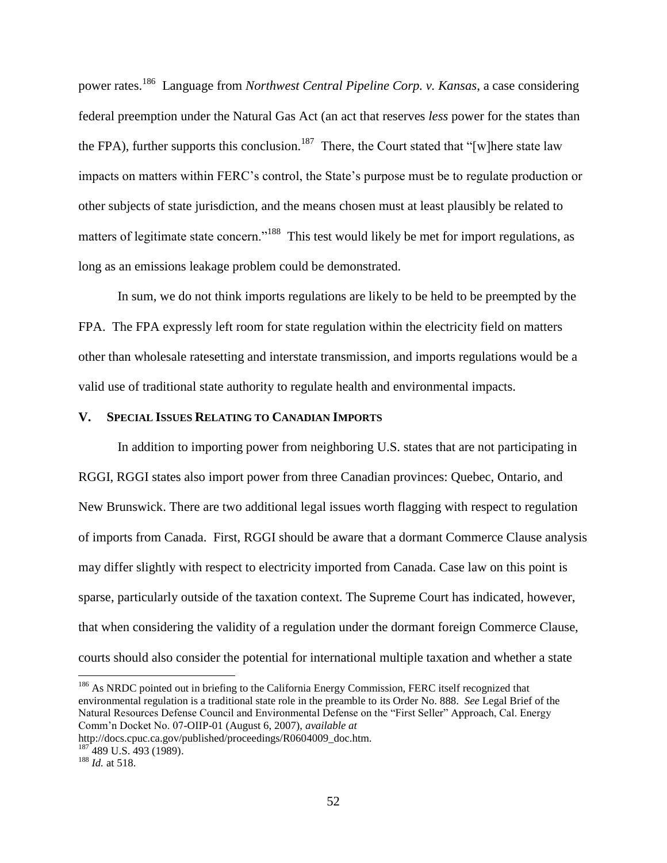power rates.<sup>186</sup> Language from *Northwest Central Pipeline Corp. v. Kansas*, a case considering federal preemption under the Natural Gas Act (an act that reserves *less* power for the states than the FPA), further supports this conclusion.<sup>187</sup> There, the Court stated that "[w]here state law impacts on matters within FERC's control, the State's purpose must be to regulate production or other subjects of state jurisdiction, and the means chosen must at least plausibly be related to matters of legitimate state concern."<sup>188</sup> This test would likely be met for import regulations, as long as an emissions leakage problem could be demonstrated.

In sum, we do not think imports regulations are likely to be held to be preempted by the FPA. The FPA expressly left room for state regulation within the electricity field on matters other than wholesale ratesetting and interstate transmission, and imports regulations would be a valid use of traditional state authority to regulate health and environmental impacts.

#### **V. SPECIAL ISSUES RELATING TO CANADIAN IMPORTS**

In addition to importing power from neighboring U.S. states that are not participating in RGGI, RGGI states also import power from three Canadian provinces: Quebec, Ontario, and New Brunswick. There are two additional legal issues worth flagging with respect to regulation of imports from Canada. First, RGGI should be aware that a dormant Commerce Clause analysis may differ slightly with respect to electricity imported from Canada. Case law on this point is sparse, particularly outside of the taxation context. The Supreme Court has indicated, however, that when considering the validity of a regulation under the dormant foreign Commerce Clause, courts should also consider the potential for international multiple taxation and whether a state

<sup>&</sup>lt;sup>186</sup> As NRDC pointed out in briefing to the California Energy Commission, FERC itself recognized that environmental regulation is a traditional state role in the preamble to its Order No. 888. *See* Legal Brief of the Natural Resources Defense Council and Environmental Defense on the "First Seller" Approach, Cal. Energy Comm'n Docket No. 07-OIIP-01 (August 6, 2007), *available at*

http://docs.cpuc.ca.gov/published/proceedings/R0604009\_doc.htm.

<sup>&</sup>lt;sup>187</sup> 489 U.S. 493 (1989).

<sup>188</sup> *Id.* at 518.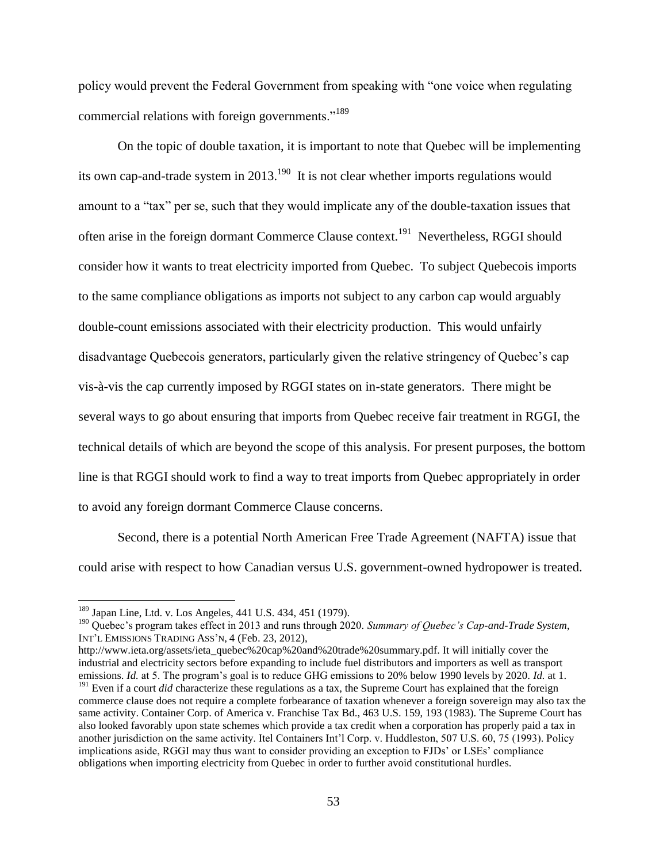policy would prevent the Federal Government from speaking with "one voice when regulating commercial relations with foreign governments."<sup>189</sup>

On the topic of double taxation, it is important to note that Quebec will be implementing its own cap-and-trade system in 2013.<sup>190</sup> It is not clear whether imports regulations would amount to a "tax" per se, such that they would implicate any of the double-taxation issues that often arise in the foreign dormant Commerce Clause context.<sup>191</sup> Nevertheless, RGGI should consider how it wants to treat electricity imported from Quebec. To subject Quebecois imports to the same compliance obligations as imports not subject to any carbon cap would arguably double-count emissions associated with their electricity production. This would unfairly disadvantage Quebecois generators, particularly given the relative stringency of Quebec's cap vis-à-vis the cap currently imposed by RGGI states on in-state generators. There might be several ways to go about ensuring that imports from Quebec receive fair treatment in RGGI, the technical details of which are beyond the scope of this analysis. For present purposes, the bottom line is that RGGI should work to find a way to treat imports from Quebec appropriately in order to avoid any foreign dormant Commerce Clause concerns.

Second, there is a potential North American Free Trade Agreement (NAFTA) issue that could arise with respect to how Canadian versus U.S. government-owned hydropower is treated.

<sup>189</sup> Japan Line, Ltd. v. Los Angeles, 441 U.S. 434, 451 (1979).

<sup>190</sup> Quebec's program takes effect in 2013 and runs through 2020. *Summary of Quebec's Cap-and-Trade System*, INT'L EMISSIONS TRADING ASS'N, 4 (Feb. 23, 2012),

http://www.ieta.org/assets/ieta\_quebec%20cap%20and%20trade%20summary.pdf. It will initially cover the industrial and electricity sectors before expanding to include fuel distributors and importers as well as transport emissions. *Id.* at 5. The program's goal is to reduce GHG emissions to 20% below 1990 levels by 2020. *Id.* at 1.

<sup>&</sup>lt;sup>191</sup> Even if a court *did* characterize these regulations as a tax, the Supreme Court has explained that the foreign commerce clause does not require a complete forbearance of taxation whenever a foreign sovereign may also tax the same activity. Container Corp. of America v. Franchise Tax Bd., 463 U.S. 159, 193 (1983). The Supreme Court has also looked favorably upon state schemes which provide a tax credit when a corporation has properly paid a tax in another jurisdiction on the same activity. Itel Containers Int'l Corp. v. Huddleston, 507 U.S. 60, 75 (1993). Policy implications aside, RGGI may thus want to consider providing an exception to FJDs' or LSEs' compliance obligations when importing electricity from Quebec in order to further avoid constitutional hurdles.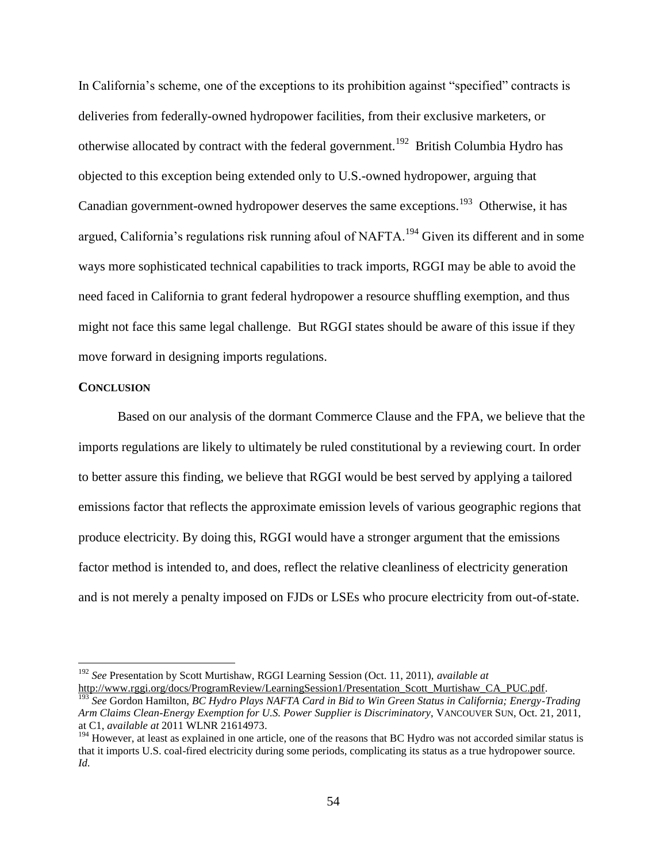In California's scheme, one of the exceptions to its prohibition against "specified" contracts is deliveries from federally-owned hydropower facilities, from their exclusive marketers, or otherwise allocated by contract with the federal government.<sup>192</sup> British Columbia Hydro has objected to this exception being extended only to U.S.-owned hydropower, arguing that Canadian government-owned hydropower deserves the same exceptions.<sup>193</sup> Otherwise, it has argued, California's regulations risk running afoul of NAFTA.<sup>194</sup> Given its different and in some ways more sophisticated technical capabilities to track imports, RGGI may be able to avoid the need faced in California to grant federal hydropower a resource shuffling exemption, and thus might not face this same legal challenge. But RGGI states should be aware of this issue if they move forward in designing imports regulations.

#### **CONCLUSION**

 $\overline{a}$ 

Based on our analysis of the dormant Commerce Clause and the FPA, we believe that the imports regulations are likely to ultimately be ruled constitutional by a reviewing court. In order to better assure this finding, we believe that RGGI would be best served by applying a tailored emissions factor that reflects the approximate emission levels of various geographic regions that produce electricity. By doing this, RGGI would have a stronger argument that the emissions factor method is intended to, and does, reflect the relative cleanliness of electricity generation and is not merely a penalty imposed on FJDs or LSEs who procure electricity from out-of-state.

<sup>192</sup> *See* Presentation by Scott Murtishaw, RGGI Learning Session (Oct. 11, 2011), *available at* [http://www.rggi.org/docs/ProgramReview/LearningSession1/Presentation\\_Scott\\_Murtishaw\\_CA\\_PUC.pdf.](http://www.rggi.org/docs/ProgramReview/LearningSession1/Presentation_Scott_Murtishaw_CA_PUC.pdf)

<sup>193</sup> *See* Gordon Hamilton, *BC Hydro Plays NAFTA Card in Bid to Win Green Status in California; Energy-Trading Arm Claims Clean-Energy Exemption for U.S. Power Supplier is Discriminatory*, VANCOUVER SUN, Oct. 21, 2011, at C1, *available at* 2011 WLNR 21614973.

<sup>&</sup>lt;sup>194</sup> However, at least as explained in one article, one of the reasons that BC Hydro was not accorded similar status is that it imports U.S. coal-fired electricity during some periods, complicating its status as a true hydropower source. *Id.*